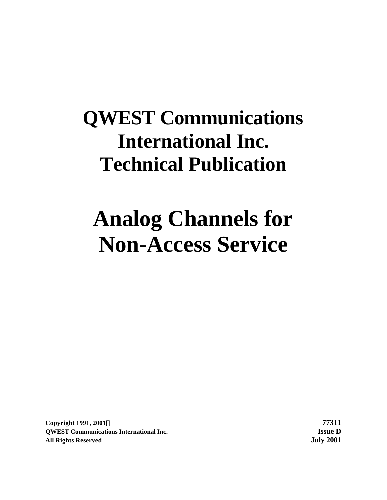# **QWEST Communications International Inc. Technical Publication**

# **Analog Channels for Non-Access Service**

**Copyright 1991, 2001Ó 77311 QWEST Communications International Inc. Issue D All Rights Reserved July 2001**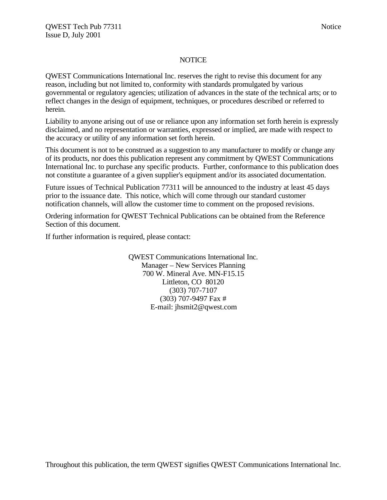#### **NOTICE**

QWEST Communications International Inc. reserves the right to revise this document for any reason, including but not limited to, conformity with standards promulgated by various governmental or regulatory agencies; utilization of advances in the state of the technical arts; or to reflect changes in the design of equipment, techniques, or procedures described or referred to herein.

Liability to anyone arising out of use or reliance upon any information set forth herein is expressly disclaimed, and no representation or warranties, expressed or implied, are made with respect to the accuracy or utility of any information set forth herein.

This document is not to be construed as a suggestion to any manufacturer to modify or change any of its products, nor does this publication represent any commitment by QWEST Communications International Inc. to purchase any specific products. Further, conformance to this publication does not constitute a guarantee of a given supplier's equipment and/or its associated documentation.

Future issues of Technical Publication 77311 will be announced to the industry at least 45 days prior to the issuance date. This notice, which will come through our standard customer notification channels, will allow the customer time to comment on the proposed revisions.

Ordering information for QWEST Technical Publications can be obtained from the Reference Section of this document.

If further information is required, please contact:

QWEST Communications International Inc. Manager – New Services Planning 700 W. Mineral Ave. MN-F15.15 Littleton, CO 80120 (303) 707-7107 (303) 707-9497 Fax # E-mail: jhsmit2@qwest.com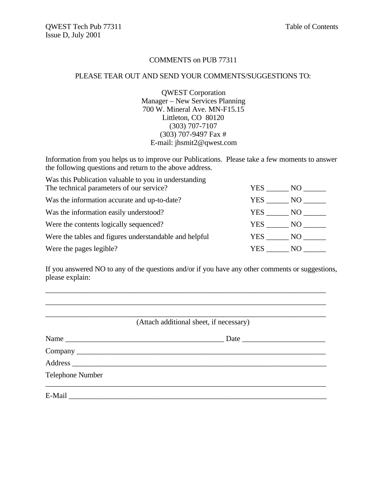# COMMENTS on PUB 77311

#### PLEASE TEAR OUT AND SEND YOUR COMMENTS/SUGGESTIONS TO:

QWEST Corporation Manager – New Services Planning 700 W. Mineral Ave. MN-F15.15 Littleton, CO 80120 (303) 707-7107 (303) 707-9497 Fax # E-mail: jhsmit2@qwest.com

Information from you helps us to improve our Publications. Please take a few moments to answer the following questions and return to the above address.

| Was this Publication valuable to you in understanding  |            |            |
|--------------------------------------------------------|------------|------------|
| The technical parameters of our service?               | <b>YES</b> | NO -       |
| Was the information accurate and up-to-date?           | YES        | NO         |
| Was the information easily understood?                 | YES        | NQ         |
| Were the contents logically sequenced?                 | YES        | NO 1999 NO |
| Were the tables and figures understandable and helpful | YES NO     |            |
| Were the pages legible?                                | YES.       | NO.        |

If you answered NO to any of the questions and/or if you have any other comments or suggestions, please explain:

\_\_\_\_\_\_\_\_\_\_\_\_\_\_\_\_\_\_\_\_\_\_\_\_\_\_\_\_\_\_\_\_\_\_\_\_\_\_\_\_\_\_\_\_\_\_\_\_\_\_\_\_\_\_\_\_\_\_\_\_\_\_\_\_\_\_\_\_\_\_\_\_\_\_

| (Attach additional sheet, if necessary) |
|-----------------------------------------|
| Name                                    |
|                                         |
|                                         |
| Telephone Number                        |
| $E-Mail$                                |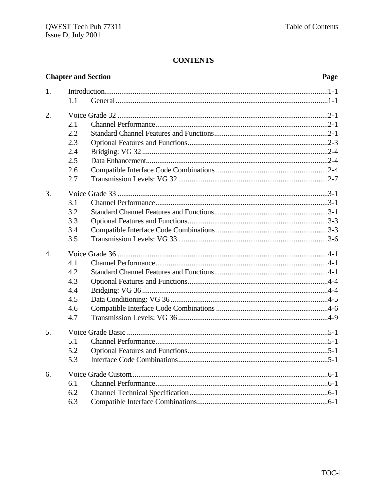# **CONTENTS**

|                  | <b>Chapter and Section</b> | Page |
|------------------|----------------------------|------|
| 1.               |                            |      |
|                  | 1.1                        |      |
| 2.               |                            |      |
|                  | 2.1                        |      |
|                  | 2.2                        |      |
|                  | 2.3                        |      |
|                  | 2.4                        |      |
|                  | 2.5                        |      |
|                  | 2.6                        |      |
|                  | 2.7                        |      |
| 3.               |                            |      |
|                  | 3.1                        |      |
|                  | 3.2                        |      |
|                  | 3.3                        |      |
|                  | 3.4                        |      |
|                  | 3.5                        |      |
| $\overline{4}$ . |                            |      |
|                  | 4.1                        |      |
|                  | 4.2                        |      |
|                  | 4.3                        |      |
|                  | 4.4                        |      |
|                  | 4.5                        |      |
|                  | 4.6                        |      |
|                  | 4.7                        |      |
| 5.               |                            |      |
|                  | 5.1                        |      |
|                  | 5.2                        |      |
|                  | 5.3                        |      |
| 6.               |                            |      |
|                  | 6.1                        |      |
|                  | 6.2                        |      |
|                  | 6.3                        |      |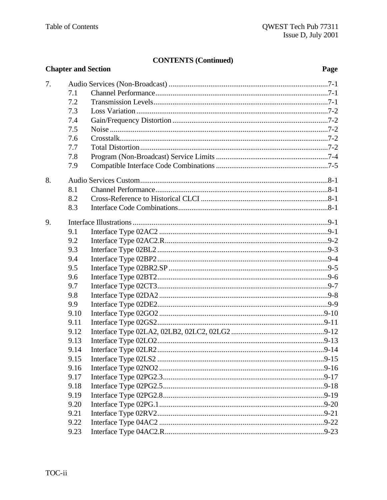# **CONTENTS (Continued)**

|    |      | <b>Chapter and Section</b> | Page |
|----|------|----------------------------|------|
| 7. |      |                            |      |
|    | 7.1  |                            |      |
|    | 7.2  |                            |      |
|    | 7.3  |                            |      |
|    | 7.4  |                            |      |
|    | 7.5  |                            |      |
|    | 7.6  |                            |      |
|    | 7.7  |                            |      |
|    | 7.8  |                            |      |
|    | 7.9  |                            |      |
| 8. |      |                            |      |
|    | 8.1  |                            |      |
|    | 8.2  |                            |      |
|    | 8.3  |                            |      |
| 9. |      |                            |      |
|    | 9.1  |                            |      |
|    | 9.2  |                            |      |
|    | 9.3  |                            |      |
|    | 9.4  |                            |      |
|    | 9.5  |                            |      |
|    | 9.6  |                            |      |
|    | 9.7  |                            |      |
|    | 9.8  |                            |      |
|    | 9.9  |                            |      |
|    | 9.10 |                            |      |
|    | 9.11 |                            |      |
|    | 9.12 |                            |      |
|    | 9.13 |                            |      |
|    | 9.14 |                            |      |
|    | 9.15 |                            |      |
|    | 9.16 |                            |      |
|    | 9.17 |                            |      |
|    | 9.18 |                            |      |
|    | 9.19 |                            |      |
|    | 9.20 |                            |      |
|    | 9.21 |                            |      |
|    | 9.22 |                            |      |
|    | 9.23 |                            |      |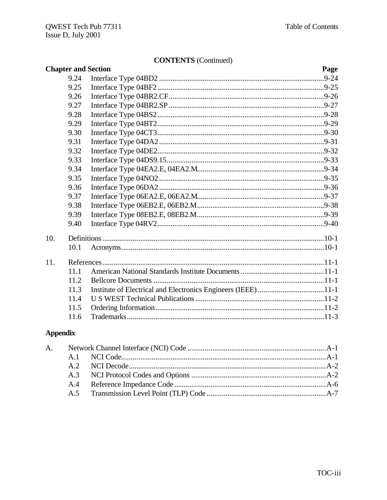# **CONTENTS** (Continued)

|     |      | $\mathbf{C}$ UNTERVID (COMMUNIC<br><b>Chapter and Section</b> | Page |
|-----|------|---------------------------------------------------------------|------|
|     | 9.24 |                                                               |      |
|     | 9.25 |                                                               |      |
|     | 9.26 |                                                               |      |
|     | 9.27 |                                                               |      |
|     | 9.28 |                                                               |      |
|     | 9.29 |                                                               |      |
|     | 9.30 |                                                               |      |
|     | 9.31 |                                                               |      |
|     | 9.32 |                                                               |      |
|     | 9.33 |                                                               |      |
|     | 9.34 |                                                               |      |
|     | 9.35 |                                                               |      |
|     | 9.36 |                                                               |      |
|     | 9.37 |                                                               |      |
|     | 9.38 |                                                               |      |
|     | 9.39 |                                                               |      |
|     | 9.40 |                                                               |      |
| 10. |      |                                                               |      |
|     | 10.1 |                                                               |      |
| 11. |      |                                                               |      |
|     | 11.1 |                                                               |      |
|     | 11.2 |                                                               |      |
|     | 11.3 |                                                               |      |
|     | 11.4 |                                                               |      |
|     | 11.5 |                                                               |      |
|     | 11.6 |                                                               |      |
|     |      |                                                               |      |

# **Appendix**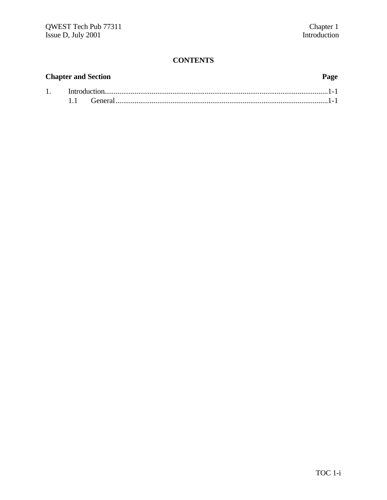# **CONTENTS**

|  | <b>Chapter and Section</b> | Page |
|--|----------------------------|------|
|  |                            |      |
|  |                            |      |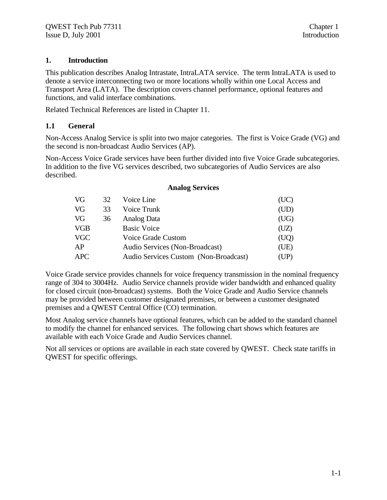# **1. Introduction**

This publication describes Analog Intrastate, IntraLATA service. The term IntraLATA is used to denote a service interconnecting two or more locations wholly within one Local Access and Transport Area (LATA). The description covers channel performance, optional features and functions, and valid interface combinations.

Related Technical References are listed in Chapter 11.

# **1.1 General**

Non-Access Analog Service is split into two major categories. The first is Voice Grade (VG) and the second is non-broadcast Audio Services (AP).

Non-Access Voice Grade services have been further divided into five Voice Grade subcategories. In addition to the five VG services described, two subcategories of Audio Services are also described.

| VG         | 32 | Voice Line                            | (UC) |
|------------|----|---------------------------------------|------|
| VG         | 33 | Voice Trunk                           | (UD) |
| VG         | 36 | Analog Data                           | (UG) |
| <b>VGB</b> |    | <b>Basic Voice</b>                    | (UZ) |
| <b>VGC</b> |    | Voice Grade Custom                    | (UQ) |
| AP         |    | Audio Services (Non-Broadcast)        | (UE) |
| <b>APC</b> |    | Audio Services Custom (Non-Broadcast) | (UP) |

# **Analog Services**

Voice Grade service provides channels for voice frequency transmission in the nominal frequency range of 304 to 3004Hz. Audio Service channels provide wider bandwidth and enhanced quality for closed circuit (non-broadcast) systems. Both the Voice Grade and Audio Service channels may be provided between customer designated premises, or between a customer designated premises and a QWEST Central Office (CO) termination.

Most Analog service channels have optional features, which can be added to the standard channel to modify the channel for enhanced services. The following chart shows which features are available with each Voice Grade and Audio Services channel.

Not all services or options are available in each state covered by QWEST. Check state tariffs in QWEST for specific offerings.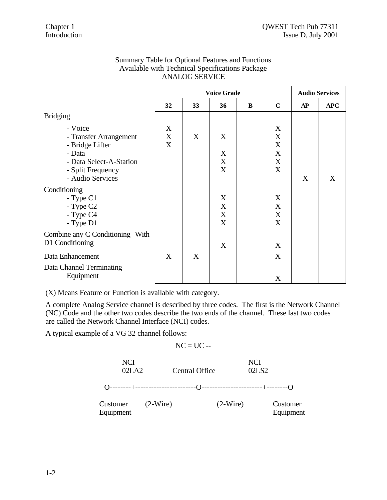|                                                                                                                                    | <b>Voice Grade</b>                  |    |                  |   | <b>Audio Services</b>                                    |           |            |
|------------------------------------------------------------------------------------------------------------------------------------|-------------------------------------|----|------------------|---|----------------------------------------------------------|-----------|------------|
|                                                                                                                                    | 32                                  | 33 | 36               | B | $\mathbf C$                                              | <b>AP</b> | <b>APC</b> |
| <b>Bridging</b>                                                                                                                    |                                     |    |                  |   |                                                          |           |            |
| - Voice<br>- Transfer Arrangement<br>- Bridge Lifter<br>- Data<br>- Data Select-A-Station<br>- Split Frequency<br>- Audio Services | X<br>$\boldsymbol{\mathrm{X}}$<br>X | X  | X<br>X<br>X<br>X |   | X<br>X<br>$\mathbf X$<br>$\mathbf X$<br>$\mathbf X$<br>X | X         | X          |
| Conditioning<br>$-Type C1$<br>- Type C2<br>- Type C4<br>- Type D1                                                                  |                                     |    | X<br>X<br>X<br>X |   | X<br>X<br>X<br>X                                         |           |            |
| Combine any C Conditioning With<br>D1 Conditioning                                                                                 |                                     |    | X                |   | X                                                        |           |            |
| Data Enhancement<br>Data Channel Terminating<br>Equipment                                                                          | X                                   | X  |                  |   | X<br>X                                                   |           |            |

# Summary Table for Optional Features and Functions Available with Technical Specifications Package ANALOG SERVICE

(X) Means Feature or Function is available with category.

A complete Analog Service channel is described by three codes. The first is the Network Channel (NC) Code and the other two codes describe the two ends of the channel. These last two codes are called the Network Channel Interface (NCI) codes.

A typical example of a VG 32 channel follows:

$$
NC = UC -
$$

| NCI<br>02LA2          |            | <b>Central Office</b> |            | <b>NCI</b><br>02LS <sub>2</sub> |                       |
|-----------------------|------------|-----------------------|------------|---------------------------------|-----------------------|
|                       |            |                       |            |                                 |                       |
| Customer<br>Equipment | $(2-Wire)$ |                       | $(2-Wire)$ |                                 | Customer<br>Equipment |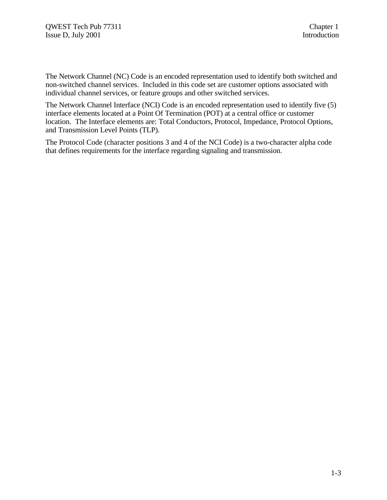The Network Channel (NC) Code is an encoded representation used to identify both switched and non-switched channel services. Included in this code set are customer options associated with individual channel services, or feature groups and other switched services.

The Network Channel Interface (NCI) Code is an encoded representation used to identify five (5) interface elements located at a Point Of Termination (POT) at a central office or customer location. The Interface elements are: Total Conductors, Protocol, Impedance, Protocol Options, and Transmission Level Points (TLP).

The Protocol Code (character positions 3 and 4 of the NCI Code) is a two-character alpha code that defines requirements for the interface regarding signaling and transmission.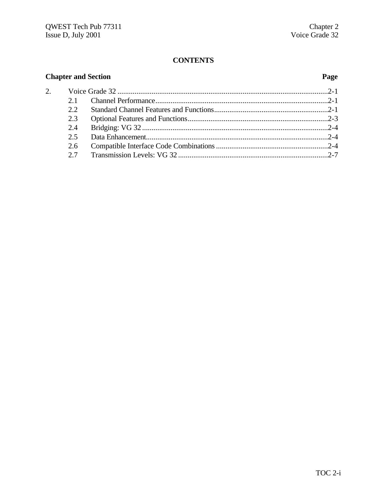# **CONTENTS**

#### **Chapter and Section**  $\overline{2}$ .  $2.1$  $2.2$  $2.3$  $2.4$  $2.5$ 2.6 2.7

#### Page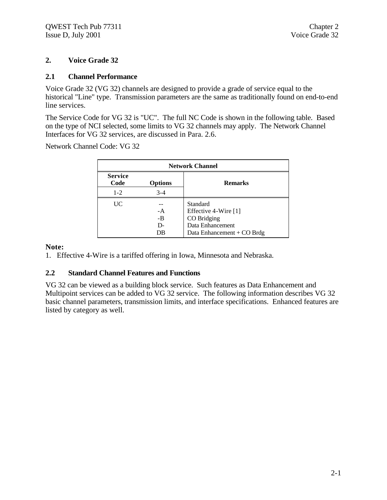# **2. Voice Grade 32**

# **2.1 Channel Performance**

Voice Grade 32 (VG 32) channels are designed to provide a grade of service equal to the historical "Line" type. Transmission parameters are the same as traditionally found on end-to-end line services.

The Service Code for VG 32 is "UC". The full NC Code is shown in the following table. Based on the type of NCI selected, some limits to VG 32 channels may apply. The Network Channel Interfaces for VG 32 services, are discussed in Para. 2.6.

Network Channel Code: VG 32

| <b>Network Channel</b>                   |         |                            |  |  |
|------------------------------------------|---------|----------------------------|--|--|
| <b>Service</b><br>Code<br><b>Options</b> |         | <b>Remarks</b>             |  |  |
| $1 - 2$                                  | $3 - 4$ |                            |  |  |
| UC                                       |         | Standard                   |  |  |
|                                          | $-A$    | Effective 4-Wire [1]       |  |  |
|                                          | $-B$    | CO Bridging                |  |  |
|                                          | D-      | Data Enhancement           |  |  |
|                                          | DB      | Data Enhancement + CO Brdg |  |  |

#### **Note:**

1. Effective 4-Wire is a tariffed offering in Iowa, Minnesota and Nebraska.

# **2.2 Standard Channel Features and Functions**

VG 32 can be viewed as a building block service. Such features as Data Enhancement and Multipoint services can be added to VG 32 service. The following information describes VG 32 basic channel parameters, transmission limits, and interface specifications. Enhanced features are listed by category as well.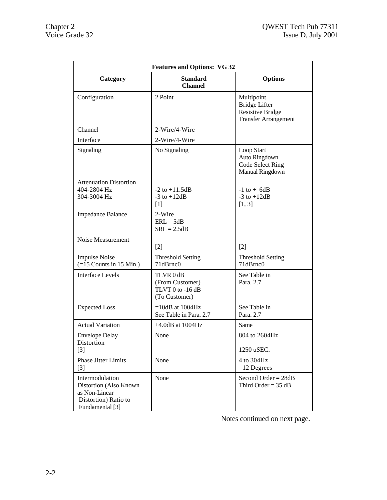| <b>Features and Options: VG 32</b>                                                                    |                                                                   |                                                                                              |  |  |  |
|-------------------------------------------------------------------------------------------------------|-------------------------------------------------------------------|----------------------------------------------------------------------------------------------|--|--|--|
| Category                                                                                              | <b>Standard</b><br><b>Channel</b>                                 | <b>Options</b>                                                                               |  |  |  |
| Configuration                                                                                         | 2 Point                                                           | Multipoint<br><b>Bridge Lifter</b><br><b>Resistive Bridge</b><br><b>Transfer Arrangement</b> |  |  |  |
| Channel                                                                                               | 2-Wire/4-Wire                                                     |                                                                                              |  |  |  |
| Interface                                                                                             | 2-Wire/4-Wire                                                     |                                                                                              |  |  |  |
| Signaling                                                                                             | No Signaling                                                      | Loop Start<br>Auto Ringdown<br>Code Select Ring<br>Manual Ringdown                           |  |  |  |
| <b>Attenuation Distortion</b><br>404-2804 Hz<br>304-3004 Hz                                           | $-2$ to $+11.5$ dB<br>$-3$ to $+12dB$<br>$[1]$                    | $-1$ to $+$ 6dB<br>$-3$ to $+12dB$<br>[1, 3]                                                 |  |  |  |
| <b>Impedance Balance</b>                                                                              | 2-Wire<br>$ERL = 5dB$<br>$SRL = 2.5dB$                            |                                                                                              |  |  |  |
| Noise Measurement                                                                                     | $[2]$                                                             | $[2]$                                                                                        |  |  |  |
| <b>Impulse Noise</b><br>$(=15$ Counts in 15 Min.)                                                     | <b>Threshold Setting</b><br>71dBrnc0                              | <b>Threshold Setting</b><br>71dBrnc0                                                         |  |  |  |
| <b>Interface Levels</b>                                                                               | TLVR 0 dB<br>(From Customer)<br>TLVT 0 to -16 dB<br>(To Customer) | See Table in<br>Para, 2.7                                                                    |  |  |  |
| <b>Expected Loss</b>                                                                                  | $=10dB$ at 1004Hz<br>See Table in Para. 2.7                       | See Table in<br>Para. 2.7                                                                    |  |  |  |
| <b>Actual Variation</b>                                                                               | $\pm 4.0$ dB at 1004Hz                                            | Same                                                                                         |  |  |  |
| <b>Envelope Delay</b><br>Distortion<br>$[3]$                                                          | None                                                              | 804 to 2604Hz<br>1250 uSEC.                                                                  |  |  |  |
| Phase Jitter Limits<br>$[3]$                                                                          | None                                                              | 4 to 304Hz<br>$=12$ Degrees                                                                  |  |  |  |
| Intermodulation<br>Distortion (Also Known<br>as Non-Linear<br>Distortion) Ratio to<br>Fundamental [3] | None                                                              | Second Order = $28dB$<br>Third Order = $35 dB$                                               |  |  |  |

Notes continued on next page.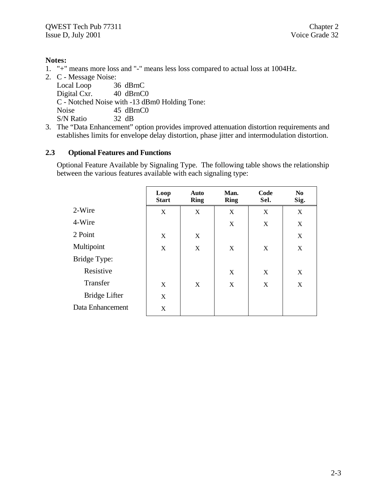# **Notes:**

1. "+" means more loss and "-" means less loss compared to actual loss at 1004Hz.

2. C - Message Noise: Local Loop 36 dBrnC Digital Cxr. 40 dBrnC0 C - Notched Noise with -13 dBm0 Holding Tone: Noise 45 dBrnC0 S/N Ratio 32 dB

3. The "Data Enhancement" option provides improved attenuation distortion requirements and establishes limits for envelope delay distortion, phase jitter and intermodulation distortion.

# **2.3 Optional Features and Functions**

Optional Feature Available by Signaling Type. The following table shows the relationship between the various features available with each signaling type:

|                  | Loop<br><b>Start</b> | Auto<br><b>Ring</b> | Man.<br><b>Ring</b> | Code<br>Sel. | N <sub>0</sub><br>Sig. |
|------------------|----------------------|---------------------|---------------------|--------------|------------------------|
| 2-Wire           | X                    | X                   | X                   | X            | X                      |
| 4-Wire           |                      |                     | X                   | X            | X                      |
| 2 Point          | X                    | X                   |                     |              | X                      |
| Multipoint       | X                    | X                   | X                   | X            | X                      |
| Bridge Type:     |                      |                     |                     |              |                        |
| Resistive        |                      |                     | X                   | X            | X                      |
| Transfer         | X                    | X                   | X                   | X            | X                      |
| Bridge Lifter    | X                    |                     |                     |              |                        |
| Data Enhancement | X                    |                     |                     |              |                        |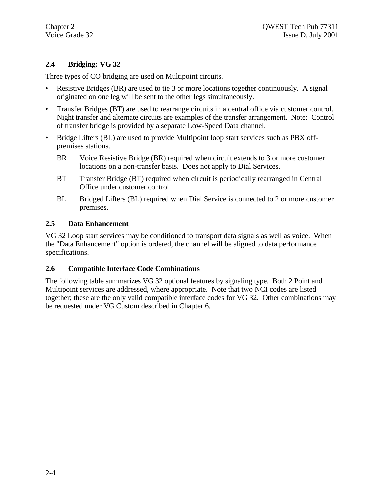# **2.4 Bridging: VG 32**

Three types of CO bridging are used on Multipoint circuits.

- Resistive Bridges (BR) are used to tie 3 or more locations together continuously. A signal originated on one leg will be sent to the other legs simultaneously.
- Transfer Bridges (BT) are used to rearrange circuits in a central office via customer control. Night transfer and alternate circuits are examples of the transfer arrangement. Note: Control of transfer bridge is provided by a separate Low-Speed Data channel.
- Bridge Lifters (BL) are used to provide Multipoint loop start services such as PBX offpremises stations.
	- BR Voice Resistive Bridge (BR) required when circuit extends to 3 or more customer locations on a non-transfer basis. Does not apply to Dial Services.
	- BT Transfer Bridge (BT) required when circuit is periodically rearranged in Central Office under customer control.
	- BL Bridged Lifters (BL) required when Dial Service is connected to 2 or more customer premises.

# **2.5 Data Enhancement**

VG 32 Loop start services may be conditioned to transport data signals as well as voice. When the "Data Enhancement" option is ordered, the channel will be aligned to data performance specifications.

# **2.6 Compatible Interface Code Combinations**

The following table summarizes VG 32 optional features by signaling type. Both 2 Point and Multipoint services are addressed, where appropriate. Note that two NCI codes are listed together; these are the only valid compatible interface codes for VG 32. Other combinations may be requested under VG Custom described in Chapter 6.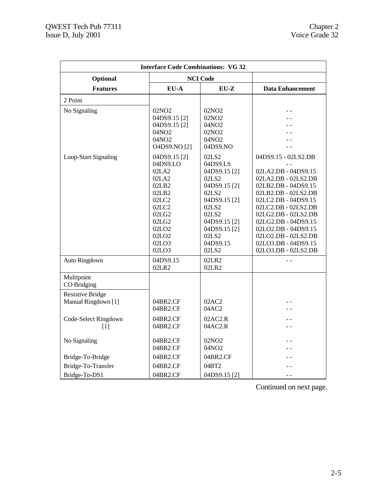| <b>Interface Code Combinations: VG 32</b>      |                                                                                                                                                                         |                                                                                                                                                                                         |                                                                                                                                                                                                                                                                                                         |  |  |
|------------------------------------------------|-------------------------------------------------------------------------------------------------------------------------------------------------------------------------|-----------------------------------------------------------------------------------------------------------------------------------------------------------------------------------------|---------------------------------------------------------------------------------------------------------------------------------------------------------------------------------------------------------------------------------------------------------------------------------------------------------|--|--|
| Optional                                       |                                                                                                                                                                         | <b>NCI Code</b>                                                                                                                                                                         |                                                                                                                                                                                                                                                                                                         |  |  |
| <b>Features</b>                                | EU-A                                                                                                                                                                    | $EU-Z$                                                                                                                                                                                  | <b>Data Enhancement</b>                                                                                                                                                                                                                                                                                 |  |  |
| 2 Point                                        |                                                                                                                                                                         |                                                                                                                                                                                         |                                                                                                                                                                                                                                                                                                         |  |  |
| No Signaling                                   | 02NO <sub>2</sub><br>04DS9.15 <sup>[2]</sup><br>04DS9.15 [2]<br>04NO2<br>04NO2<br>O4DS9.NO [2]                                                                          | 02NO <sub>2</sub><br>02NO <sub>2</sub><br>04NO <sub>2</sub><br>02NO <sub>2</sub><br>04NO2<br>04DS9.NO                                                                                   |                                                                                                                                                                                                                                                                                                         |  |  |
| Loop-Start Signaling                           | 04DS9.15 <sup>[2]</sup><br>04DS9.LO<br>02LA2<br>02LA2<br>02LB2<br>02LB2<br>02LC2<br>02LC2<br>02LG2<br>02LG2<br>02LO <sub>2</sub><br>02LO <sub>2</sub><br>02LO3<br>02LO3 | 02LS2<br>04DS9.LS<br>04DS9.15[2]<br>02LS2<br>04DS9.15 [2]<br>02LS2<br>04DS9.15 <sup>[2]</sup><br>02LS2<br>02LS2<br>04DS9.15[2]<br>04DS9.15 <sup>[2]</sup><br>02LS2<br>04DS9.15<br>02LS2 | 04DS9.15 - 02LS2.DB<br>02LA2.DB - 04DS9.15<br>02LA2.DB - 02LS2.DB<br>02LB2.DB - 04DS9.15<br>02LB2.DB - 02LS2.DB<br>02LC2.DB - 04DS9.15<br>02LC2.DB - 02LS2.DB<br>02LG2.DB - 02LS2.DB<br>02LG2.DB - 04DS9.15<br>02LO2.DB - 04DS9.15<br>02LO2.DB - 02LS2.DB<br>02LO3.DB - 04DS9.15<br>02LO3.DB - 02LS2.DB |  |  |
| Auto Ringdown                                  | 04DS9.15<br>02LR2                                                                                                                                                       | 02LR2<br>02LR2                                                                                                                                                                          |                                                                                                                                                                                                                                                                                                         |  |  |
| Multipoint<br>CO Bridging                      |                                                                                                                                                                         |                                                                                                                                                                                         |                                                                                                                                                                                                                                                                                                         |  |  |
| <b>Resistive Bridge</b><br>Manual Ringdown [1] | 04BR2.CF<br>04BR2.CF                                                                                                                                                    | 02AC2<br>04AC2                                                                                                                                                                          |                                                                                                                                                                                                                                                                                                         |  |  |
| Code-Select Ringdown<br>[1]                    | 04BR2.CF<br>04BR2.CF                                                                                                                                                    | 02AC2.R<br>04AC2.R                                                                                                                                                                      |                                                                                                                                                                                                                                                                                                         |  |  |
| No Signaling                                   | 04BR2.CF<br>04BR2.CF                                                                                                                                                    | 02NO <sub>2</sub><br>04NO2                                                                                                                                                              |                                                                                                                                                                                                                                                                                                         |  |  |
| Bridge-To-Bridge                               | 04BR2.CF                                                                                                                                                                | 04BR2.CF                                                                                                                                                                                |                                                                                                                                                                                                                                                                                                         |  |  |
| Bridge-To-Transfer                             | 04BR2.CF                                                                                                                                                                | 04BT2                                                                                                                                                                                   |                                                                                                                                                                                                                                                                                                         |  |  |
| Bridge-To-DS1                                  | 04BR2.CF                                                                                                                                                                | 04DS9.15 <sup>[2]</sup>                                                                                                                                                                 |                                                                                                                                                                                                                                                                                                         |  |  |

Continued on next page.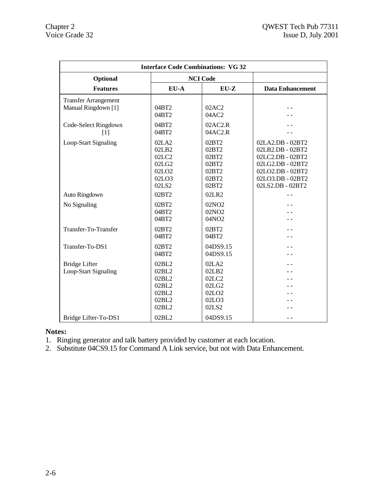| <b>Interface Code Combinations: VG 32</b>          |                                                                         |                                                                         |                                                                                                                                          |  |
|----------------------------------------------------|-------------------------------------------------------------------------|-------------------------------------------------------------------------|------------------------------------------------------------------------------------------------------------------------------------------|--|
| Optional                                           |                                                                         | <b>NCI Code</b>                                                         |                                                                                                                                          |  |
| <b>Features</b>                                    | EU-A                                                                    | $EU-Z$                                                                  | <b>Data Enhancement</b>                                                                                                                  |  |
| <b>Transfer Arrangement</b><br>Manual Ringdown [1] | 04BT2<br>04BT2                                                          | 02AC2<br>04AC2                                                          |                                                                                                                                          |  |
| Code-Select Ringdown<br>$\lceil 1 \rceil$          | 04BT2<br>04BT2                                                          | 02AC2.R<br>04AC2.R                                                      |                                                                                                                                          |  |
| Loop-Start Signaling                               | 02LA2<br>02LB2<br>02LC2<br>02LG2<br>02LO <sub>2</sub><br>02LO3<br>02LS2 | 02BT2<br>02BT2<br>02BT2<br>02BT2<br>02BT2<br>02BT2<br>02BT2             | 02LA2.DB - 02BT2<br>02LB2.DB - 02BT2<br>02LC2.DB - 02BT2<br>02LG2.DB - 02BT2<br>02LO2.DB - 02BT2<br>02LO3.DB - 02BT2<br>02LS2.DB - 02BT2 |  |
| Auto Ringdown                                      | 02BT2                                                                   | 02LR2                                                                   |                                                                                                                                          |  |
| No Signaling                                       | 02BT2<br>04BT2<br>04BT2                                                 | 02NO <sub>2</sub><br>02NO2<br>04NO2                                     |                                                                                                                                          |  |
| Transfer-To-Transfer                               | 02BT2<br>04BT2                                                          | 02BT2<br>04BT2                                                          |                                                                                                                                          |  |
| Transfer-To-DS1                                    | 02BT2<br>04BT2                                                          | 04DS9.15<br>04DS9.15                                                    |                                                                                                                                          |  |
| <b>Bridge Lifter</b><br>Loop-Start Signaling       | 02BL2<br>02BL2<br>02BL2<br>02BL2<br>02BL2<br>02BL2<br>02BL2             | 02LA2<br>02LB2<br>02LC2<br>02LG2<br>02LO <sub>2</sub><br>02LO3<br>02LS2 |                                                                                                                                          |  |
| Bridge Lifter-To-DS1                               | 02BL2                                                                   | 04DS9.15                                                                |                                                                                                                                          |  |

# **Notes:**

1. Ringing generator and talk battery provided by customer at each location.

2. Substitute 04CS9.15 for Command A Link service, but not with Data Enhancement.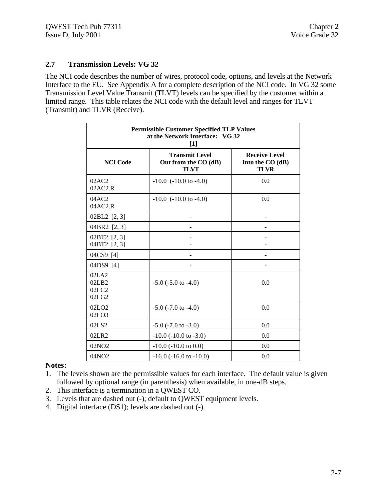# **2.7 Transmission Levels: VG 32**

The NCI code describes the number of wires, protocol code, options, and levels at the Network Interface to the EU. See Appendix A for a complete description of the NCI code. In VG 32 some Transmission Level Value Transmit (TLVT) levels can be specified by the customer within a limited range. This table relates the NCI code with the default level and ranges for TLVT (Transmit) and TLVR (Receive).

| <b>Permissible Customer Specified TLP Values</b><br>at the Network Interface: VG 32<br>$[1]$                                               |                                |     |  |  |  |
|--------------------------------------------------------------------------------------------------------------------------------------------|--------------------------------|-----|--|--|--|
| <b>Transmit Level</b><br><b>Receive Level</b><br><b>NCI</b> Code<br>Out from the CO (dB)<br>Into the CO (dB)<br><b>TLVT</b><br><b>TLVR</b> |                                |     |  |  |  |
| 02AC2<br>02AC2.R                                                                                                                           | $-10.0$ ( $-10.0$ to $-4.0$ )  | 0.0 |  |  |  |
| 04AC2<br>04AC2.R                                                                                                                           | $-10.0$ ( $-10.0$ to $-4.0$ )  | 0.0 |  |  |  |
| 02BL2 [2, 3]                                                                                                                               |                                |     |  |  |  |
| 04BR2 [2, 3]                                                                                                                               |                                |     |  |  |  |
| 02BT2 [2, 3]<br>04BT2 [2, 3]                                                                                                               |                                |     |  |  |  |
| 04CS9 [4]                                                                                                                                  |                                |     |  |  |  |
| 04DS9 [4]                                                                                                                                  |                                |     |  |  |  |
| 02LA2<br>02LB2<br>02LC2<br>02LG2                                                                                                           | $-5.0$ ( $-5.0$ to $-4.0$ )    | 0.0 |  |  |  |
| 02LO <sub>2</sub><br>02LO3                                                                                                                 | $-5.0$ ( $-7.0$ to $-4.0$ )    | 0.0 |  |  |  |
| 02LS2                                                                                                                                      | $-5.0$ ( $-7.0$ to $-3.0$ )    | 0.0 |  |  |  |
| 02LR2                                                                                                                                      | $-10.0$ ( $-10.0$ to $-3.0$ )  | 0.0 |  |  |  |
| 02NO <sub>2</sub>                                                                                                                          | $-10.0$ ( $-10.0$ to 0.0)      | 0.0 |  |  |  |
| 04NO2                                                                                                                                      | $-16.0$ ( $-16.0$ to $-10.0$ ) | 0.0 |  |  |  |

# **Notes:**

- 1. The levels shown are the permissible values for each interface. The default value is given followed by optional range (in parenthesis) when available, in one-dB steps.
- 2. This interface is a termination in a QWEST CO.
- 3. Levels that are dashed out (-); default to QWEST equipment levels.
- 4. Digital interface (DS1); levels are dashed out (-).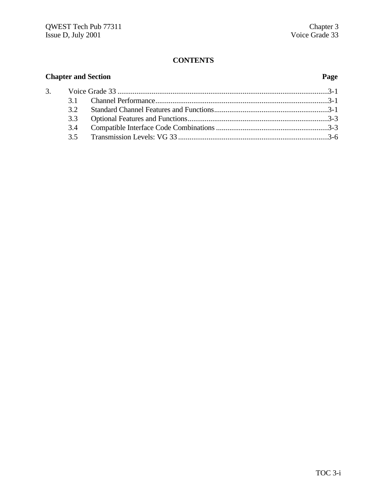# **CONTENTS**

# **Chapter and Section Page** 3. Voice Grade 33 ...............................................................................................................3-1 3.1 Channel Performance...........................................................................................3-1 3.2 Standard Channel Features and Functions............................................................3-1 3.3 Optional Features and Functions..........................................................................3-3 3.4 Compatible Interface Code Combinations...........................................................3-3 3.5 Transmission Levels: VG 33 ...............................................................................3-6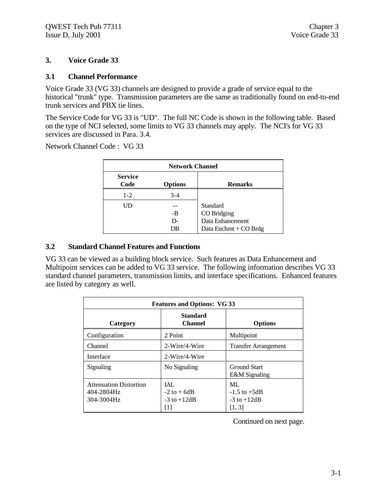# **3. Voice Grade 33**

# **3.1 Channel Performance**

Voice Grade 33 (VG 33) channels are designed to provide a grade of service equal to the historical "trunk" type. Transmission parameters are the same as traditionally found on end-to-end trunk services and PBX tie lines.

The Service Code for VG 33 is "UD". The full NC Code is shown in the following table. Based on the type of NCI selected, some limits to VG 33 channels may apply. The NCI's for VG 33 services are discussed in Para. 3.4.

Network Channel Code : VG 33

| <b>Network Channel</b> |                |                                                                      |  |  |
|------------------------|----------------|----------------------------------------------------------------------|--|--|
| <b>Service</b><br>Code | <b>Options</b> | <b>Remarks</b>                                                       |  |  |
| $1 - 2$                | $3-4$          |                                                                      |  |  |
| Ш                      | -B<br>D-<br>DB | Standard<br>CO Bridging<br>Data Enhancement<br>Data Enchmt + CO Brdg |  |  |

#### **3.2 Standard Channel Features and Functions**

VG 33 can be viewed as a building block service. Such features as Data Enhancement and Multipoint services can be added to VG 33 service. The following information describes VG 33 standard channel parameters, transmission limits, and interface specifications. Enhanced features are listed by category as well.

| <b>Features and Options: VG 33</b>                        |                                                         |                                                     |  |  |
|-----------------------------------------------------------|---------------------------------------------------------|-----------------------------------------------------|--|--|
| Category                                                  | <b>Standard</b><br><b>Channel</b>                       | <b>Options</b>                                      |  |  |
| Configuration                                             | 2 Point                                                 | Multipoint                                          |  |  |
| Channel                                                   | 2-Wire/4-Wire                                           | <b>Transfer Arrangement</b>                         |  |  |
| Interface                                                 | 2-Wire/4-Wire                                           |                                                     |  |  |
| Signaling                                                 | No Signaling                                            | <b>Ground Start</b><br>E&M Signaling                |  |  |
| <b>Attenuation Distortion</b><br>404-2804Hz<br>304-3004Hz | <b>IAL</b><br>$-2$ to $+$ 6dB<br>$-3$ to $+12dB$<br>[1] | ML<br>$-1.5$ to $+5dB$<br>$-3$ to $+12dB$<br>[1, 3] |  |  |

Continued on next page.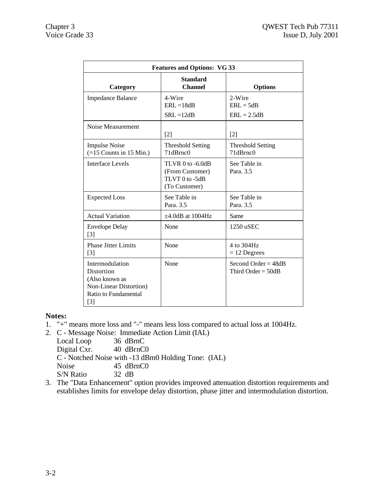| <b>Features and Options: VG 33</b>                                                                         |                                                                            |                                               |  |  |  |
|------------------------------------------------------------------------------------------------------------|----------------------------------------------------------------------------|-----------------------------------------------|--|--|--|
| Category                                                                                                   | <b>Standard</b><br><b>Channel</b>                                          | <b>Options</b>                                |  |  |  |
| <b>Impedance Balance</b>                                                                                   | 4-Wire<br>$ERL = 18dB$<br>$SRL = 12dB$                                     | 2-Wire<br>$ERL = 5dB$<br>$ERL = 2.5dB$        |  |  |  |
| Noise Measurement                                                                                          | $\lceil 2 \rceil$                                                          | $[2]$                                         |  |  |  |
| <b>Impulse Noise</b><br>$(=15$ Counts in 15 Min.)                                                          | <b>Threshold Setting</b><br>71dBrnc0                                       | <b>Threshold Setting</b><br>71dBrnc0          |  |  |  |
| <b>Interface Levels</b>                                                                                    | $TLVR$ 0 to $-6.0dB$<br>(From Customer)<br>TLVT 0 to -5dB<br>(To Customer) | See Table in<br>Para, 3.5                     |  |  |  |
| <b>Expected Loss</b>                                                                                       | See Table in<br>Para. 3.5                                                  | See Table in<br>Para. 3.5                     |  |  |  |
| <b>Actual Variation</b>                                                                                    | $\pm 4.0$ dB at 1004Hz                                                     | Same                                          |  |  |  |
| <b>Envelope Delay</b><br>[3]                                                                               | None                                                                       | 1250 uSEC                                     |  |  |  |
| <b>Phase Jitter Limits</b><br>$\lceil 3 \rceil$                                                            | None                                                                       | 4 to 304Hz<br>$= 12$ Degrees                  |  |  |  |
| Intermodulation<br>Distortion<br>(Also known as<br>Non-Linear Distortion)<br>Ratio to Fundamental<br>$[3]$ | None                                                                       | Second Order = $48dB$<br>Third Order = $50dB$ |  |  |  |

# **Notes:**

- 1. "+" means more loss and "-" means less loss compared to actual loss at 1004Hz.
- 2. C Message Noise: Immediate Action Limit (IAL)

Local Loop Digital Cxr. 40 dBrnC0 C - Notched Noise with -13 dBm0 Holding Tone: (IAL) Noise 45 dBrnC0 S/N Ratio 32 dB

3. The "Data Enhancement" option provides improved attenuation distortion requirements and establishes limits for envelope delay distortion, phase jitter and intermodulation distortion.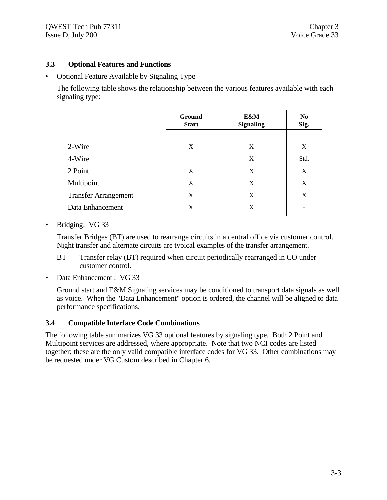# **3.3 Optional Features and Functions**

• Optional Feature Available by Signaling Type

The following table shows the relationship between the various features available with each signaling type:

| <b>Ground</b><br><b>Start</b> | E&M<br><b>Signaling</b> | N <sub>0</sub><br>Sig. |
|-------------------------------|-------------------------|------------------------|
|                               |                         |                        |
| X                             | X                       | X                      |
|                               | X                       | Std.                   |
| X                             | X                       | X                      |
| X                             | X                       | X                      |
| X                             | X                       | X                      |
| X                             | X                       | -                      |
|                               |                         |                        |

• Bridging: VG 33

Transfer Bridges (BT) are used to rearrange circuits in a central office via customer control. Night transfer and alternate circuits are typical examples of the transfer arrangement.

- BT Transfer relay (BT) required when circuit periodically rearranged in CO under customer control.
- Data Enhancement : VG 33

Ground start and E&M Signaling services may be conditioned to transport data signals as well as voice. When the "Data Enhancement" option is ordered, the channel will be aligned to data performance specifications.

# **3.4 Compatible Interface Code Combinations**

The following table summarizes VG 33 optional features by signaling type. Both 2 Point and Multipoint services are addressed, where appropriate. Note that two NCI codes are listed together; these are the only valid compatible interface codes for VG 33. Other combinations may be requested under VG Custom described in Chapter 6.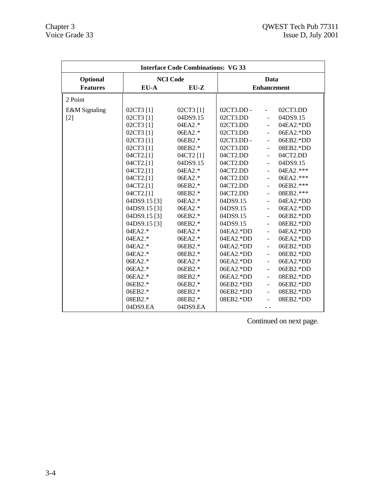| <b>Interface Code Combinations: VG 33</b> |                                                                                                                                                                                                                                                                                                                  |                                                                                                                                                                                                                                                                    |                                                                                                                                                                                                                                                                                                          |                                                                                                                                                                                                                                                                                                                                                                                                            |                                                                                                                                                                                                                                                                                                       |
|-------------------------------------------|------------------------------------------------------------------------------------------------------------------------------------------------------------------------------------------------------------------------------------------------------------------------------------------------------------------|--------------------------------------------------------------------------------------------------------------------------------------------------------------------------------------------------------------------------------------------------------------------|----------------------------------------------------------------------------------------------------------------------------------------------------------------------------------------------------------------------------------------------------------------------------------------------------------|------------------------------------------------------------------------------------------------------------------------------------------------------------------------------------------------------------------------------------------------------------------------------------------------------------------------------------------------------------------------------------------------------------|-------------------------------------------------------------------------------------------------------------------------------------------------------------------------------------------------------------------------------------------------------------------------------------------------------|
| Optional                                  |                                                                                                                                                                                                                                                                                                                  | <b>NCI Code</b>                                                                                                                                                                                                                                                    |                                                                                                                                                                                                                                                                                                          |                                                                                                                                                                                                                                                                                                                                                                                                            | Data                                                                                                                                                                                                                                                                                                  |
| <b>Features</b>                           | $EU-A$                                                                                                                                                                                                                                                                                                           | $EU-Z$                                                                                                                                                                                                                                                             |                                                                                                                                                                                                                                                                                                          | <b>Enhancement</b>                                                                                                                                                                                                                                                                                                                                                                                         |                                                                                                                                                                                                                                                                                                       |
| 2 Point                                   |                                                                                                                                                                                                                                                                                                                  |                                                                                                                                                                                                                                                                    |                                                                                                                                                                                                                                                                                                          |                                                                                                                                                                                                                                                                                                                                                                                                            |                                                                                                                                                                                                                                                                                                       |
| E&M Signaling<br>$[2]$                    | 02CT3 [1]<br>02CT3 [1]<br>02CT3 [1]<br>02CT3 [1]<br>02CT3 [1]<br>02CT3 [1]<br>04CT2.[1]<br>04CT2.[1]<br>04CT2.[1]<br>04CT2.[1]<br>04CT2.[1]<br>04CT2.[1]<br>04DS9.15 <sup>[3]</sup><br>04DS9.15 [3]<br>04DS9.15 [3]<br>04DS9.15 [3]<br>04EA2.*<br>04EA2.*<br>04EA2.*<br>04EA2.*<br>06EA2.*<br>06EA2.*<br>06EA2.* | 02CT3 [1]<br>04DS9.15<br>04EA2.*<br>06EA2.*<br>06EB2.*<br>08EB2.*<br>04CT2 [1]<br>04DS9.15<br>04EA2.*<br>06EA2.*<br>06EB2.*<br>08EB2.*<br>$04E A2.*$<br>06EA2.*<br>06EB2.*<br>08EB2.*<br>04EA2.*<br>06EA2.*<br>06EB2.*<br>08EB2.*<br>06EA2.*<br>06EB2.*<br>08EB2.* | $02CT3.DD -$<br>02CT3.DD<br>02CT3.DD<br>02CT3.DD<br>$02CT3.DD -$<br>02CT3.DD<br>04CT2.DD<br>$04CT2$ .DD<br>04CT2.DD<br>04CT2.DD<br>04CT2.DD<br>04CT2.DD<br>04DS9.15<br>04DS9.15<br>04DS9.15<br>04DS9.15<br>$04EA2.*DD$<br>04EA2.*DD<br>04EA2.*DD<br>$04EA2.*DD$<br>$06EA2.*DD$<br>06EA2.*DD<br>06EA2.*DD | $\omega_{\rm{max}}$<br>$\mathbf{r}$<br>$\sim$<br>$\sim 100$<br>$\Delta \sim 10^4$<br>$\equiv$<br>$\blacksquare$<br>$\mathcal{L}_{\mathcal{A}}$<br>$\omega$<br>$\equiv$<br>$\blacksquare$<br>$\omega_{\rm c}$<br>$\mathbf{L}$<br>$\blacksquare$<br>$\blacksquare$<br>$\omega$<br>$\equiv$<br>$\blacksquare$<br>$\blacksquare$<br>$\mathbf{L}^{\mathcal{A}}$<br>$\equiv$<br>$\blacksquare$<br>$\blacksquare$ | 02CT3.DD<br>04DS9.15<br>04EA2.*DD<br>06EA2.*DD<br>06EB2.*DD<br>08EB2.*DD<br>04CT2.DD<br>04DS9.15<br>04EA2.***<br>06EA2.***<br>06EB2.***<br>08EB2.***<br>04EA2.*DD<br>06EA2.*DD<br>$06EB2.*DD$<br>08EB2.*DD<br>04EA2.*DD<br>06EA2.*DD<br>06EB2.*DD<br>08EB2.*DD<br>06EA2.*DD<br>06EB2.*DD<br>08EB2.*DD |
|                                           | 06EB2.*<br>06EB2.*<br>08EB2.*                                                                                                                                                                                                                                                                                    | 06EB2.*<br>08EB2.*<br>08EB2.*                                                                                                                                                                                                                                      | $06EB2.*DD$<br>06EB2.*DD<br>08EB2.*DD                                                                                                                                                                                                                                                                    | $\omega$<br>$\blacksquare$<br>$\blacksquare$                                                                                                                                                                                                                                                                                                                                                               | 06EB2.*DD<br>08EB2.*DD<br>08EB2.*DD                                                                                                                                                                                                                                                                   |
|                                           | 04DS9.EA                                                                                                                                                                                                                                                                                                         | 04DS9.EA                                                                                                                                                                                                                                                           |                                                                                                                                                                                                                                                                                                          | - -                                                                                                                                                                                                                                                                                                                                                                                                        |                                                                                                                                                                                                                                                                                                       |

Continued on next page.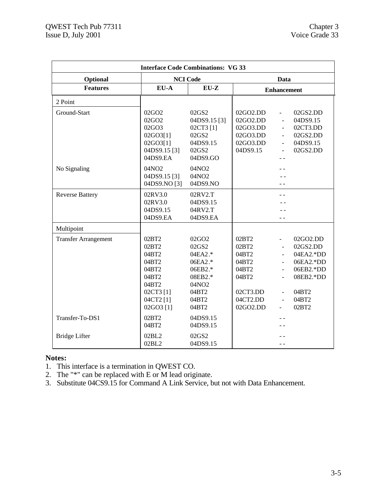| <b>Interface Code Combinations: VG 33</b> |                                                                                                                |                                                                                                                           |                                                                                        |                                                                                                                                        |                                                                                                     |
|-------------------------------------------|----------------------------------------------------------------------------------------------------------------|---------------------------------------------------------------------------------------------------------------------------|----------------------------------------------------------------------------------------|----------------------------------------------------------------------------------------------------------------------------------------|-----------------------------------------------------------------------------------------------------|
| Optional                                  |                                                                                                                | <b>NCI Code</b>                                                                                                           |                                                                                        |                                                                                                                                        | Data                                                                                                |
| <b>Features</b>                           | $EU-A$                                                                                                         | $EU-Z$                                                                                                                    | <b>Enhancement</b>                                                                     |                                                                                                                                        |                                                                                                     |
| 2 Point                                   |                                                                                                                |                                                                                                                           |                                                                                        |                                                                                                                                        |                                                                                                     |
| Ground-Start                              | 02GO <sub>2</sub><br>02GO <sub>2</sub><br>02GO3<br>02GO3[1]<br>02GO3[1]<br>04DS9.15 <sup>[3]</sup><br>04DS9.EA | 02GS2<br>04DS9.15 <sup>[3]</sup><br>02CT3 [1]<br>02GS2<br>04DS9.15<br>02GS2<br>04DS9.GO                                   | 02GO2.DD<br>02GO2.DD<br>02GO3.DD<br>02GO3.DD<br>02GO3.DD<br>04DS9.15                   | $\frac{1}{2}$<br>÷,<br>$\blacksquare$<br>$\blacksquare$<br>$\blacksquare$<br>$\blacksquare$                                            | 02GS2.DD<br>04DS9.15<br>02CT3.DD<br>02GS2.DD<br>04DS9.15<br>02GS2.DD                                |
| No Signaling                              | 04NO2<br>04DS9.15[3]<br>04DS9.NO [3]                                                                           | 04NO2<br>04NO2<br>04DS9.NO                                                                                                |                                                                                        |                                                                                                                                        |                                                                                                     |
| <b>Reverse Battery</b>                    | 02RV3.0<br>02RV3.0<br>04DS9.15<br>04DS9.EA                                                                     | 02RV2.T<br>04DS9.15<br>04RV2.T<br>04DS9.EA                                                                                |                                                                                        |                                                                                                                                        |                                                                                                     |
| Multipoint                                |                                                                                                                |                                                                                                                           |                                                                                        |                                                                                                                                        |                                                                                                     |
| <b>Transfer Arrangement</b>               | 02BT2<br>02BT2<br>04BT2<br>04BT2<br>04BT2<br>04BT2<br>04BT2<br>02CT3 [1]<br>04CT2 [1]<br>02GO3 [1]             | $02$ GO <sub>2</sub><br>02GS2<br>04EA2.*<br>06EA2.*<br>06EB2.*<br>08EB2.*<br>04NO <sub>2</sub><br>04BT2<br>04BT2<br>04BT2 | 02BT2<br>02BT2<br>04BT2<br>04BT2<br>04BT2<br>04BT2<br>02CT3.DD<br>04CT2.DD<br>02GO2.DD | $\blacksquare$<br>$\blacksquare$<br>$\overline{\phantom{a}}$<br>$\overline{a}$<br>$\overline{\phantom{a}}$<br>$\overline{\phantom{a}}$ | 02GO2.DD<br>02GS2.DD<br>04EA2.*DD<br>06EA2.*DD<br>06EB2.*DD<br>08EB2.*DD<br>04BT2<br>04BT2<br>02BT2 |
| Transfer-To-DS1                           | 02BT2<br>04BT2                                                                                                 | 04DS9.15<br>04DS9.15                                                                                                      |                                                                                        |                                                                                                                                        |                                                                                                     |
| <b>Bridge Lifter</b>                      | 02BL2<br>02BL2                                                                                                 | 02GS2<br>04DS9.15                                                                                                         |                                                                                        | - -                                                                                                                                    |                                                                                                     |

# **Notes:**

- 1. This interface is a termination in QWEST CO.
- 2. The "\*" can be replaced with E or M lead originate.
- 3. Substitute 04CS9.15 for Command A Link Service, but not with Data Enhancement.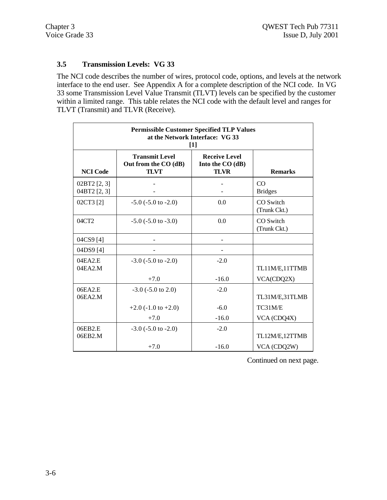# **3.5 Transmission Levels: VG 33**

The NCI code describes the number of wires, protocol code, options, and levels at the network interface to the end user. See Appendix A for a complete description of the NCI code. In VG 33 some Transmission Level Value Transmit (TLVT) levels can be specified by the customer within a limited range. This table relates the NCI code with the default level and ranges for TLVT (Transmit) and TLVR (Receive).

| <b>Permissible Customer Specified TLP Values</b><br>at the Network Interface: VG 33<br>$[1]$ |                                                              |                                                         |                            |  |
|----------------------------------------------------------------------------------------------|--------------------------------------------------------------|---------------------------------------------------------|----------------------------|--|
| <b>NCI Code</b>                                                                              | <b>Transmit Level</b><br>Out from the CO (dB)<br><b>TLVT</b> | <b>Receive Level</b><br>Into the CO (dB)<br><b>TLVR</b> | <b>Remarks</b>             |  |
| $02BT2$ [2, 3]<br>04BT2 [2, 3]                                                               |                                                              |                                                         | $\rm CO$<br><b>Bridges</b> |  |
| 02CT3 [2]                                                                                    | $-5.0$ ( $-5.0$ to $-2.0$ )                                  | 0.0                                                     | CO Switch<br>(Trunk Ckt.)  |  |
| 04CT2                                                                                        | $-5.0$ ( $-5.0$ to $-3.0$ )                                  | 0.0                                                     | CO Switch<br>(Trunk Ckt.)  |  |
| 04CS9 <sup>[4]</sup>                                                                         |                                                              |                                                         |                            |  |
| 04DS9 [4]                                                                                    |                                                              |                                                         |                            |  |
| 04EA2.E<br>04EA2.M                                                                           | $-3.0$ ( $-5.0$ to $-2.0$ )                                  | $-2.0$                                                  | TL11M/E,11TTMB             |  |
|                                                                                              | $+7.0$                                                       | $-16.0$                                                 | VCA(CDQ2X)                 |  |
| 06EA2.E<br>06EA2.M                                                                           | $-3.0$ ( $-5.0$ to 2.0)                                      | $-2.0$                                                  | TL31M/E,31TLMB             |  |
|                                                                                              | $+2.0$ (-1.0 to +2.0)                                        | $-6.0$                                                  | TC31M/E                    |  |
|                                                                                              | $+7.0$                                                       | $-16.0$                                                 | VCA (CDQ4X)                |  |
| 06EB2.E<br>06EB2.M                                                                           | $-3.0$ ( $-5.0$ to $-2.0$ )                                  | $-2.0$                                                  | TL12M/E,12TTMB             |  |
|                                                                                              | $+7.0$                                                       | $-16.0$                                                 | VCA (CDQ2W)                |  |

Continued on next page.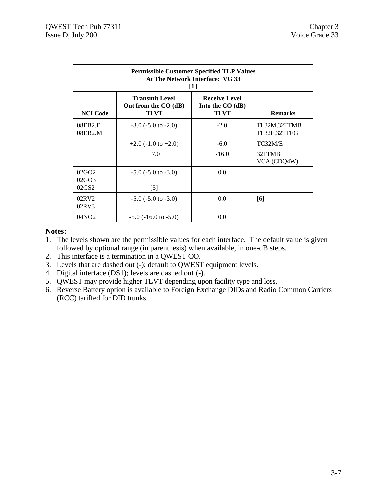| <b>Permissible Customer Specified TLP Values</b><br>At The Network Interface: VG 33<br>$[1]$ |                                                       |                                                   |                              |  |  |
|----------------------------------------------------------------------------------------------|-------------------------------------------------------|---------------------------------------------------|------------------------------|--|--|
| <b>NCI</b> Code                                                                              | <b>Transmit Level</b><br>Out from the CO (dB)<br>TLVT | <b>Receive Level</b><br>Into the $CO(dB)$<br>TLVT | <b>Remarks</b>               |  |  |
| 08EB2.E<br>08EB2.M                                                                           | $-3.0$ ( $-5.0$ to $-2.0$ )                           | $-2.0$                                            | TL32M,32TTMB<br>TL32E,32TTEG |  |  |
|                                                                                              | $+2.0$ (-1.0 to $+2.0$ )                              | $-6.0$                                            | TC32M/E                      |  |  |
|                                                                                              | $+7.0$                                                | $-16.0$                                           | 32TTMB<br>VCA (CDQ4W)        |  |  |
| 02GO <sub>2</sub><br>02G <sub>O</sub> 3<br>02GS2                                             | $-5.0$ ( $-5.0$ to $-3.0$ )<br>$[5]$                  | 0.0                                               |                              |  |  |
| 02RV2<br>02RV3                                                                               | $-5.0$ ( $-5.0$ to $-3.0$ )                           | 0.0                                               | [6]                          |  |  |
| 04NO <sub>2</sub>                                                                            | $-5.0$ ( $-16.0$ to $-5.0$ )                          | 0.0                                               |                              |  |  |

# **Notes:**

- 1. The levels shown are the permissible values for each interface. The default value is given followed by optional range (in parenthesis) when available, in one-dB steps.
- 2. This interface is a termination in a QWEST CO.
- 3. Levels that are dashed out (-); default to QWEST equipment levels.
- 4. Digital interface (DS1); levels are dashed out (-).
- 5. QWEST may provide higher TLVT depending upon facility type and loss.
- 6. Reverse Battery option is available to Foreign Exchange DIDs and Radio Common Carriers (RCC) tariffed for DID trunks.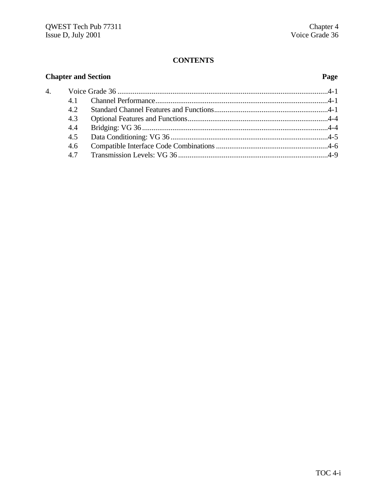# **CONTENTS**

# **Chapter and Section Page** 4. Voice Grade 36 ...............................................................................................................4-1 4.1 Channel Performance...........................................................................................4-1 4.2 Standard Channel Features and Functions............................................................4-1 4.3 Optional Features and Functions..........................................................................4-4 4.4 Bridging: VG 36 ..................................................................................................4-4 4.5 Data Conditioning: VG 36 ...................................................................................4-5 4.6 Compatible Interface Code Combinations...........................................................4-6 4.7 Transmission Levels: VG 36 ...............................................................................4-9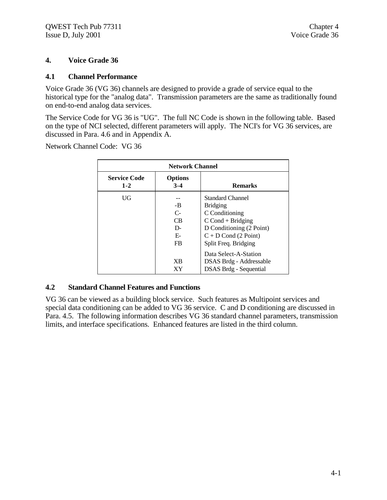# **4. Voice Grade 36**

#### **4.1 Channel Performance**

Voice Grade 36 (VG 36) channels are designed to provide a grade of service equal to the historical type for the "analog data". Transmission parameters are the same as traditionally found on end-to-end analog data services.

The Service Code for VG 36 is "UG". The full NC Code is shown in the following table. Based on the type of NCI selected, different parameters will apply. The NCI's for VG 36 services, are discussed in Para. 4.6 and in Appendix A.

Network Channel Code: VG 36

|                                | <b>Network Channel</b>                     |                                                                                                                                                                   |  |  |  |
|--------------------------------|--------------------------------------------|-------------------------------------------------------------------------------------------------------------------------------------------------------------------|--|--|--|
| <b>Service Code</b><br>$1 - 2$ | <b>Options</b><br>$3 - 4$                  | <b>Remarks</b>                                                                                                                                                    |  |  |  |
| UG                             | -B<br>$C-$<br>CB.<br>D-<br>Е-<br><b>FB</b> | <b>Standard Channel</b><br><b>Bridging</b><br>C Conditioning<br>$C$ Cond + Bridging<br>D Conditioning (2 Point)<br>$C + D$ Cond (2 Point)<br>Split Freq. Bridging |  |  |  |
|                                | XВ<br>ХY                                   | Data Select-A-Station<br>DSAS Brdg - Addressable<br>DSAS Brdg - Sequential                                                                                        |  |  |  |

# **4.2 Standard Channel Features and Functions**

VG 36 can be viewed as a building block service. Such features as Multipoint services and special data conditioning can be added to VG 36 service. C and D conditioning are discussed in Para. 4.5. The following information describes VG 36 standard channel parameters, transmission limits, and interface specifications. Enhanced features are listed in the third column.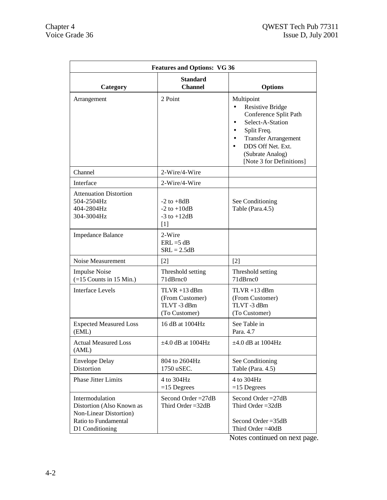| <b>Features and Options: VG 36</b>                                                                                |                                                                   |                                                                                                                                                                                                                    |  |  |
|-------------------------------------------------------------------------------------------------------------------|-------------------------------------------------------------------|--------------------------------------------------------------------------------------------------------------------------------------------------------------------------------------------------------------------|--|--|
| Category                                                                                                          | <b>Standard</b><br><b>Channel</b>                                 | <b>Options</b>                                                                                                                                                                                                     |  |  |
| Arrangement                                                                                                       | 2 Point                                                           | Multipoint<br><b>Resistive Bridge</b><br>Conference Split Path<br>Select-A-Station<br>Split Freq.<br><b>Transfer Arrangement</b><br>DDS Off Net. Ext.<br>$\bullet$<br>(Subrate Analog)<br>[Note 3 for Definitions] |  |  |
| Channel                                                                                                           | 2-Wire/4-Wire                                                     |                                                                                                                                                                                                                    |  |  |
| Interface                                                                                                         | 2-Wire/4-Wire                                                     |                                                                                                                                                                                                                    |  |  |
| <b>Attenuation Distortion</b><br>504-2504Hz<br>404-2804Hz<br>304-3004Hz                                           | $-2$ to $+8dB$<br>$-2$ to $+10dB$<br>$-3$ to $+12dB$<br>$[1]$     | See Conditioning<br>Table (Para.4.5)                                                                                                                                                                               |  |  |
| <b>Impedance Balance</b>                                                                                          | 2-Wire<br>$ERL = 5 dB$<br>$SRL = 2.5dB$                           |                                                                                                                                                                                                                    |  |  |
| Noise Measurement                                                                                                 | [2]                                                               | $\lceil 2 \rceil$                                                                                                                                                                                                  |  |  |
| <b>Impulse Noise</b><br>$(=15$ Counts in 15 Min.)                                                                 | Threshold setting<br>71dBrnc0                                     | Threshold setting<br>71dBrnc0                                                                                                                                                                                      |  |  |
| <b>Interface Levels</b>                                                                                           | $TLVR + 13$ dBm<br>(From Customer)<br>TLVT-3 dBm<br>(To Customer) | $TLVR + 13$ dBm<br>(From Customer)<br>TLVT-3 dBm<br>(To Customer)                                                                                                                                                  |  |  |
| <b>Expected Measured Loss</b><br>(EML)                                                                            | 16 dB at 1004Hz                                                   | See Table in<br>Para. 4.7                                                                                                                                                                                          |  |  |
| <b>Actual Measured Loss</b><br>(AML)                                                                              | $\pm 4.0$ dB at 1004Hz                                            | $\pm 4.0$ dB at 1004Hz                                                                                                                                                                                             |  |  |
| <b>Envelope Delay</b><br>Distortion                                                                               | 804 to 2604Hz<br>1750 uSEC.                                       | See Conditioning<br>Table (Para. 4.5)                                                                                                                                                                              |  |  |
| <b>Phase Jitter Limits</b>                                                                                        | 4 to 304Hz<br>$=15$ Degrees                                       | 4 to 304Hz<br>$=15$ Degrees                                                                                                                                                                                        |  |  |
| Intermodulation<br>Distortion (Also Known as<br>Non-Linear Distortion)<br>Ratio to Fundamental<br>D1 Conditioning | Second Order $=27dB$<br>Third Order $=32dB$                       | Second Order $=27dB$<br>Third Order $=32dB$<br>Second Order $=35dB$<br>Third Order = 40dB                                                                                                                          |  |  |

Notes continued on next page.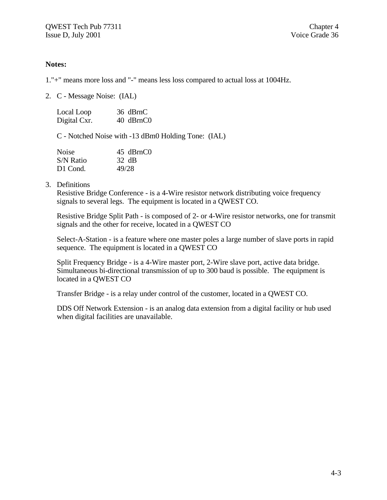# **Notes:**

1."+" means more loss and "-" means less loss compared to actual loss at 1004Hz.

2. C - Message Noise: (IAL)

| Local Loop   | 36 dBrnC  |
|--------------|-----------|
| Digital Cxr. | 40 dBrnC0 |

C - Notched Noise with -13 dBm0 Holding Tone: (IAL)

| <b>Noise</b> | 45 dBrnC0 |
|--------------|-----------|
| S/N Ratio    | 32 dB     |
| D1 Cond.     | 49/28     |

3. Definitions

Resistive Bridge Conference - is a 4-Wire resistor network distributing voice frequency signals to several legs. The equipment is located in a QWEST CO.

Resistive Bridge Split Path - is composed of 2- or 4-Wire resistor networks, one for transmit signals and the other for receive, located in a QWEST CO

Select-A-Station - is a feature where one master poles a large number of slave ports in rapid sequence. The equipment is located in a QWEST CO

Split Frequency Bridge - is a 4-Wire master port, 2-Wire slave port, active data bridge. Simultaneous bi-directional transmission of up to 300 baud is possible. The equipment is located in a QWEST CO

Transfer Bridge - is a relay under control of the customer, located in a QWEST CO.

DDS Off Network Extension - is an analog data extension from a digital facility or hub used when digital facilities are unavailable.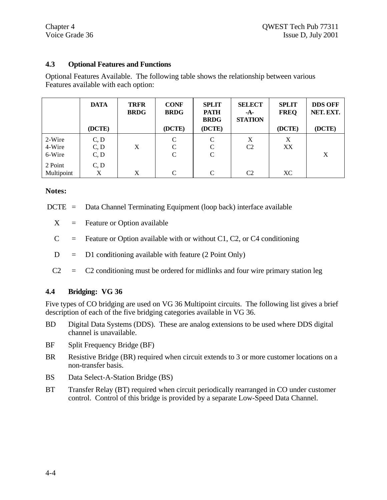# **4.3 Optional Features and Functions**

Optional Features Available. The following table shows the relationship between various Features available with each option:

|            | <b>DATA</b> | <b>TRFR</b><br><b>BRDG</b> | <b>CONF</b><br><b>BRDG</b> | <b>SPLIT</b><br><b>PATH</b><br><b>BRDG</b> | <b>SELECT</b><br>-A-<br><b>STATION</b> | <b>SPLIT</b><br><b>FREQ</b> | <b>DDS OFF</b><br>NET. EXT. |
|------------|-------------|----------------------------|----------------------------|--------------------------------------------|----------------------------------------|-----------------------------|-----------------------------|
|            | (DCTE)      |                            | (DCTE)                     | (DCTE)                                     |                                        | (DCTE)                      | (DCTE)                      |
| 2-Wire     | C, D        |                            | C                          | $\mathcal{C}$                              | X                                      | X                           |                             |
| 4-Wire     | C, D        | X                          | C                          | C                                          | C <sub>2</sub>                         | XX                          |                             |
| 6-Wire     | C, D        |                            | C                          | C                                          |                                        |                             | X                           |
| 2 Point    | C, D        |                            |                            |                                            |                                        |                             |                             |
| Multipoint | Χ           | X                          | C                          | C                                          | C <sub>2</sub>                         | XC                          |                             |

# **Notes:**

DCTE = Data Channel Terminating Equipment (loop back) interface available

 $X =$  Feature or Option available

- $C =$  Feature or Option available with or without C1, C2, or C4 conditioning
- $D = D1$  conditioning available with feature (2 Point Only)
- $C2 = C2$  conditioning must be ordered for midlinks and four wire primary station leg

# **4.4 Bridging: VG 36**

Five types of CO bridging are used on VG 36 Multipoint circuits. The following list gives a brief description of each of the five bridging categories available in VG 36.

- BD Digital Data Systems (DDS). These are analog extensions to be used where DDS digital channel is unavailable.
- BF Split Frequency Bridge (BF)
- BR Resistive Bridge (BR) required when circuit extends to 3 or more customer locations on a non-transfer basis.
- BS Data Select-A-Station Bridge (BS)
- BT Transfer Relay (BT) required when circuit periodically rearranged in CO under customer control. Control of this bridge is provided by a separate Low-Speed Data Channel.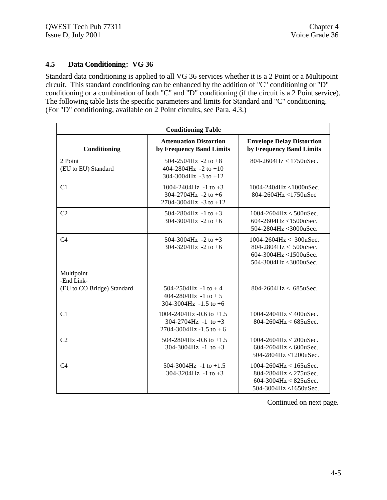# **4.5 Data Conditioning: VG 36**

Standard data conditioning is applied to all VG 36 services whether it is a 2 Point or a Multipoint circuit. This standard conditioning can be enhanced by the addition of "C" conditioning or "D" conditioning or a combination of both "C" and "D" conditioning (if the circuit is a 2 Point service). The following table lists the specific parameters and limits for Standard and "C" conditioning. (For "D" conditioning, available on 2 Point circuits, see Para. 4.3.)

| <b>Conditioning Table</b>                              |                                                                                       |                                                                                                                  |  |  |
|--------------------------------------------------------|---------------------------------------------------------------------------------------|------------------------------------------------------------------------------------------------------------------|--|--|
| Conditioning                                           | <b>Attenuation Distortion</b><br>by Frequency Band Limits                             | <b>Envelope Delay Distortion</b><br>by Frequency Band Limits                                                     |  |  |
| 2 Point<br>(EU to EU) Standard                         | 504-2504Hz -2 to $+8$<br>$404 - 2804$ Hz $-2$ to $+10$<br>304-3004Hz -3 to +12        | 804-2604Hz < $1750$ uSec.                                                                                        |  |  |
| C1                                                     | 1004-2404Hz -1 to $+3$<br>304-2704Hz -2 to +6<br>2704-3004Hz -3 to +12                | 1004-2404Hz <1000uSec.<br>804-2604Hz <1750uSec                                                                   |  |  |
| C <sub>2</sub>                                         | 504-2804Hz -1 to $+3$<br>304-3004Hz -2 to +6                                          | $1004 - 2604$ Hz < 500uSec.<br>604-2604Hz <1500uSec.<br>504-2804Hz < 3000uSec.                                   |  |  |
| C <sub>4</sub>                                         | 504-3004Hz -2 to +3<br>304-3204Hz -2 to +6                                            | 1004-2604Hz < 300uSec.<br>$804 - 2804$ Hz $< 500$ uSec.<br>604-3004Hz <1500uSec.<br>504-3004Hz <3000uSec.        |  |  |
| Multipoint<br>-End Link-<br>(EU to CO Bridge) Standard | $504 - 2504$ Hz $-1$ to $+4$<br>404-2804Hz -1 to $+5$<br>304-3004Hz -1.5 to +6        | $804 - 2604$ Hz < 685uSec.                                                                                       |  |  |
| C1                                                     | 1004-2404Hz -0.6 to +1.5<br>$304-2704$ Hz -1 to +3<br>$2704 - 3004$ Hz $-1.5$ to $+6$ | $1004 - 2404$ Hz < $400$ uSec.<br>$804 - 2604$ Hz < 685uSec.                                                     |  |  |
| C <sub>2</sub>                                         | 504-2804Hz -0.6 to +1.5<br>304-3004Hz -1 to +3                                        | $1004 - 2604$ Hz < $200$ uSec.<br>$604 - 2604$ Hz < $600$ uSec.<br>504-2804Hz <1200uSec.                         |  |  |
| C <sub>4</sub>                                         | 504-3004Hz -1 to $+1.5$<br>304-3204Hz -1 to +3                                        | $1004 - 2604$ Hz < 165uSec.<br>$804 - 2804$ Hz < 275uSec.<br>$604 - 3004$ Hz < 825uSec.<br>504-3004Hz <1650uSec. |  |  |

Continued on next page.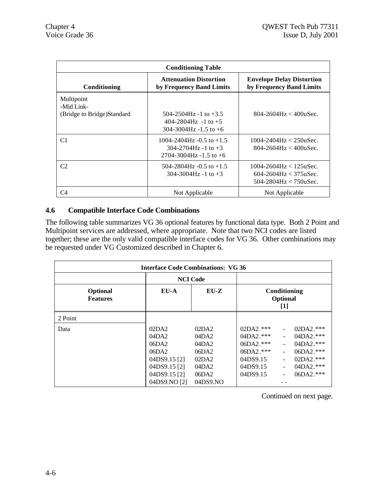| <b>Conditioning Table</b>                              |                                                                                                    |                                                                                                  |  |  |
|--------------------------------------------------------|----------------------------------------------------------------------------------------------------|--------------------------------------------------------------------------------------------------|--|--|
| Conditioning                                           | <b>Attenuation Distortion</b><br>by Frequency Band Limits                                          | <b>Envelope Delay Distortion</b><br>by Frequency Band Limits                                     |  |  |
| Multipoint<br>-Mid Link-<br>(Bridge to Bridge)Standard | $504 - 2504$ Hz -1 to $+3.5$<br>$404 - 2804$ Hz $-1$ to $+5$<br>$304-3004$ Hz $-1.5$ to $+6$       | $804 - 2604$ Hz $< 400$ uSec.                                                                    |  |  |
| C <sub>1</sub>                                         | $1004 - 2404$ Hz $-0.5$ to $+1.5$<br>$304 - 2704$ Hz -1 to $+3$<br>$2704 - 3004$ Hz $-1.5$ to $+6$ | $1004 - 2404$ Hz < $250$ uSec.<br>$804 - 2604$ Hz $< 400$ uSec.                                  |  |  |
| C2                                                     | $504-2804$ Hz $-0.5$ to $+1.5$<br>$304 - 3004$ Hz -1 to $+3$                                       | $1004 - 2604$ Hz < $125$ uSec.<br>$604 - 2604$ Hz $< 375$ uSec.<br>$504 - 2804$ Hz $< 750$ uSec. |  |  |
| C4                                                     | Not Applicable                                                                                     | Not Applicable                                                                                   |  |  |

# **4.6 Compatible Interface Code Combinations**

The following table summarizes VG 36 optional features by functional data type. Both 2 Point and Multipoint services are addressed, where appropriate. Note that two NCI codes are listed together; these are the only valid compatible interface codes for VG 36. Other combinations may be requested under VG Customized described in Chapter 6.

| <b>Interface Code Combinations: VG 36</b> |                                                                                             |                                                             |                                                                                                     |  |                                                                                                 |
|-------------------------------------------|---------------------------------------------------------------------------------------------|-------------------------------------------------------------|-----------------------------------------------------------------------------------------------------|--|-------------------------------------------------------------------------------------------------|
|                                           | <b>NCI</b> Code                                                                             |                                                             |                                                                                                     |  |                                                                                                 |
| Optional<br><b>Features</b>               | EU-A<br>$EU-Z$                                                                              |                                                             | Conditioning<br>Optional<br>$[1]$                                                                   |  |                                                                                                 |
| 2 Point                                   |                                                                                             |                                                             |                                                                                                     |  |                                                                                                 |
| Data                                      | 02DA2<br>04DA2<br>06DA2<br>06DA2<br>04DS9.15 <sup>[2]</sup><br>04DS9.15 [2]<br>04DS9.15 [2] | 02DA2<br>04DA2<br>04DA2<br>06DA2<br>02DA2<br>04DA2<br>06DA2 | $02DA2.***$<br>$04\text{DA}2.***$<br>$06DA2.***$<br>$06DA2.***$<br>04DS9.15<br>04DS9.15<br>04DS9.15 |  | $02DA2.***$<br>$04DA2.***$<br>$04DA2.***$<br>06DA2.***<br>$02DA2.***$<br>04DA2.***<br>06DA2.*** |
|                                           | 04DS9.NO [2]                                                                                | 04DS9.NO                                                    |                                                                                                     |  |                                                                                                 |

Continued on next page.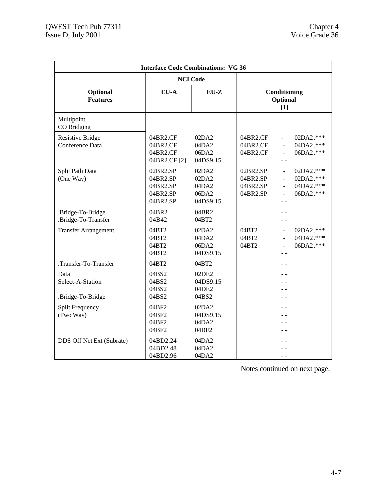| <b>Interface Code Combinations: VG 36</b>     |                                                          |                                              |                                              |                                            |                                                  |
|-----------------------------------------------|----------------------------------------------------------|----------------------------------------------|----------------------------------------------|--------------------------------------------|--------------------------------------------------|
|                                               |                                                          | <b>NCI</b> Code                              |                                              |                                            |                                                  |
| Optional<br><b>Features</b>                   | EU-A<br>$EU-Z$                                           |                                              | Conditioning<br>Optional<br>$[1]$            |                                            |                                                  |
| Multipoint<br>CO Bridging                     |                                                          |                                              |                                              |                                            |                                                  |
| <b>Resistive Bridge</b><br>Conference Data    | 04BR2.CF<br>04BR2.CF<br>04BR2.CF<br>04BR2.CF [2]         | 02DA2<br>04DA2<br>06DA2<br>04DS9.15          | 04BR2.CF<br>04BR2.CF<br>04BR2.CF             | $\overline{\phantom{a}}$<br>$\overline{a}$ | 02DA2.***<br>04DA2.***<br>06DA2.***              |
| Split Path Data<br>(One Way)                  | 02BR2.SP<br>04BR2.SP<br>04BR2.SP<br>04BR2.SP<br>04BR2.SP | 02DA2<br>02DA2<br>04DA2<br>06DA2<br>04DS9.15 | 02BR2.SP<br>04BR2.SP<br>04BR2.SP<br>04BR2.SP | $\blacksquare$<br>$\blacksquare$           | 02DA2.***<br>02DA2.***<br>04DA2.***<br>06DA2.*** |
| .Bridge-To-Bridge<br>.Bridge-To-Transfer      | 04BR2<br>04B42                                           | 04BR2<br>04BT2                               |                                              |                                            |                                                  |
| <b>Transfer Arrangement</b>                   | 04BT2<br>04BT2<br>04BT2<br>04BT2                         | 02DA2<br>04DA2<br>06DA2<br>04DS9.15          | 04BT2<br>04BT2<br>04BT2                      | $\sim$                                     | 02DA2.***<br>04DA2.***<br>06DA2.***              |
| .Transfer-To-Transfer                         | 04BT2                                                    | 04BT2                                        |                                              |                                            |                                                  |
| Data<br>Select-A-Station<br>.Bridge-To-Bridge | 04BS2<br>04BS2<br>04BS2<br>04BS2                         | 02DE2<br>04DS9.15<br>04DE2<br>04BS2          |                                              |                                            |                                                  |
| <b>Split Frequency</b><br>(Two Way)           | 04BF2<br>04BF2<br>04BF2<br>04BF2                         | 02DA2<br>04DS9.15<br>04DA2<br>04BF2          |                                              |                                            |                                                  |
| DDS Off Net Ext (Subrate)                     | 04BD2.24<br>04BD2.48<br>04BD2.96                         | 04DA2<br>04DA2<br>04DA2                      |                                              | $ -$                                       |                                                  |

Notes continued on next page.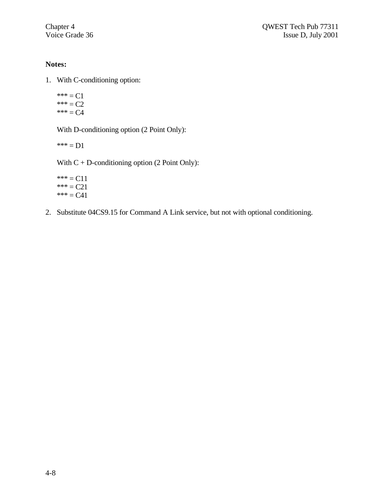# **Notes:**

- 1. With C-conditioning option:
	- \*\*\* =  $C1$  $*** = C2$ \*\*\*  $= C4$

With D-conditioning option (2 Point Only):

 $*** = D1$ 

With  $C + D$ -conditioning option (2 Point Only):

\*\*\* =  $C11$  $*** = C21$  $*** = C41$ 

2. Substitute 04CS9.15 for Command A Link service, but not with optional conditioning.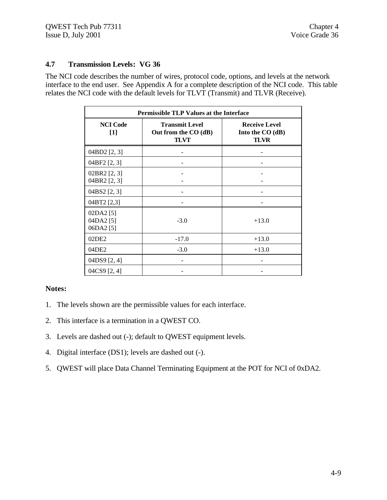# **4.7 Transmission Levels: VG 36**

The NCI code describes the number of wires, protocol code, options, and levels at the network interface to the end user. See Appendix A for a complete description of the NCI code. This table relates the NCI code with the default levels for TLVT (Transmit) and TLVR (Receive).

| <b>Permissible TLP Values at the Interface</b> |                                                              |                                                         |  |  |
|------------------------------------------------|--------------------------------------------------------------|---------------------------------------------------------|--|--|
| <b>NCI</b> Code<br>$[1]$                       | <b>Transmit Level</b><br>Out from the CO (dB)<br><b>TLVT</b> | <b>Receive Level</b><br>Into the CO (dB)<br><b>TLVR</b> |  |  |
| 04BD2 [2, 3]                                   |                                                              |                                                         |  |  |
| 04BF2 [2, 3]                                   |                                                              |                                                         |  |  |
| 02BR2 [2, 3]<br>04BR2 [2, 3]                   |                                                              |                                                         |  |  |
| 04BS2 [2, 3]                                   |                                                              |                                                         |  |  |
| 04BT2 [2,3]                                    |                                                              |                                                         |  |  |
| 02DA2 [5]<br>04DA2 [5]<br>06DA2 [5]            | $-3.0$                                                       | $+13.0$                                                 |  |  |
| 02DE2                                          | $-17.0$                                                      | $+13.0$                                                 |  |  |
| 04DE2                                          | $-3.0$                                                       | $+13.0$                                                 |  |  |
| 04DS9 [2, 4]                                   |                                                              |                                                         |  |  |
| 04CS9 [2, 4]                                   |                                                              |                                                         |  |  |

# **Notes:**

- 1. The levels shown are the permissible values for each interface.
- 2. This interface is a termination in a QWEST CO.
- 3. Levels are dashed out (-); default to QWEST equipment levels.
- 4. Digital interface (DS1); levels are dashed out (-).
- 5. QWEST will place Data Channel Terminating Equipment at the POT for NCI of 0xDA2.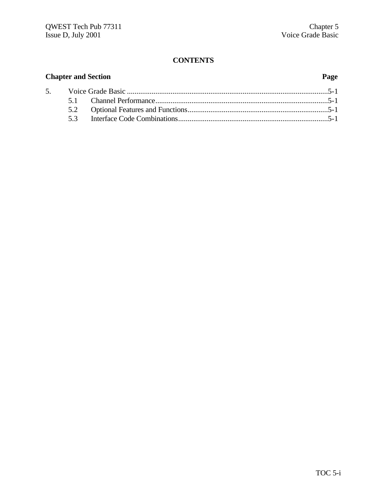## **CONTENTS**

## **Chapter and Section Page** 5. Voice Grade Basic ..........................................................................................................5-1 5.1 Channel Performance...........................................................................................5-1 5.2 Optional Features and Functions..........................................................................5-1 5.3 Interface Code Combinations...............................................................................5-1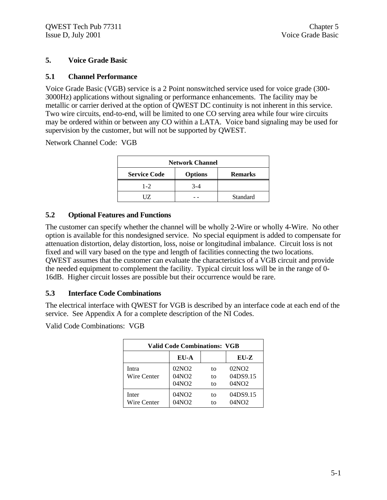## **5. Voice Grade Basic**

### **5.1 Channel Performance**

Voice Grade Basic (VGB) service is a 2 Point nonswitched service used for voice grade (300- 3000Hz) applications without signaling or performance enhancements. The facility may be metallic or carrier derived at the option of QWEST DC continuity is not inherent in this service. Two wire circuits, end-to-end, will be limited to one CO serving area while four wire circuits may be ordered within or between any CO within a LATA. Voice band signaling may be used for supervision by the customer, but will not be supported by QWEST.

Network Channel Code: VGB

| <b>Network Channel</b> |                |                |  |
|------------------------|----------------|----------------|--|
| <b>Service Code</b>    | <b>Options</b> | <b>Remarks</b> |  |
| $1 - 2$                | $3 - 4$        |                |  |
| ШZ                     |                | Standard       |  |

## **5.2 Optional Features and Functions**

The customer can specify whether the channel will be wholly 2-Wire or wholly 4-Wire. No other option is available for this nondesigned service. No special equipment is added to compensate for attenuation distortion, delay distortion, loss, noise or longitudinal imbalance. Circuit loss is not fixed and will vary based on the type and length of facilities connecting the two locations. QWEST assumes that the customer can evaluate the characteristics of a VGB circuit and provide the needed equipment to complement the facility. Typical circuit loss will be in the range of 0- 16dB. Higher circuit losses are possible but their occurrence would be rare.

## **5.3 Interface Code Combinations**

The electrical interface with QWEST for VGB is described by an interface code at each end of the service. See Appendix A for a complete description of the NI Codes.

Valid Code Combinations: VGB

| <b>Valid Code Combinations: VGB</b> |                                                 |                |                               |
|-------------------------------------|-------------------------------------------------|----------------|-------------------------------|
| $EU-Z$<br>EU-A                      |                                                 |                |                               |
| Intra<br>Wire Center                | 02NO2<br>04NO <sub>2</sub><br>04NO <sub>2</sub> | tο<br>to<br>tο | 02NO2<br>04DS9.15<br>04NO2    |
| Inter<br>Wire Center                | 04NO2<br>04NO2                                  | to<br>tΩ       | 04DS9.15<br>04NO <sub>2</sub> |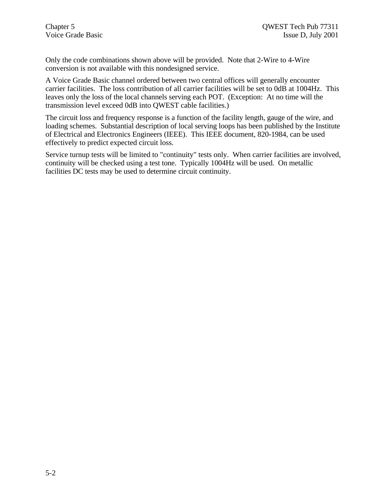Only the code combinations shown above will be provided. Note that 2-Wire to 4-Wire conversion is not available with this nondesigned service.

A Voice Grade Basic channel ordered between two central offices will generally encounter carrier facilities. The loss contribution of all carrier facilities will be set to 0dB at 1004Hz. This leaves only the loss of the local channels serving each POT. (Exception: At no time will the transmission level exceed 0dB into QWEST cable facilities.)

The circuit loss and frequency response is a function of the facility length, gauge of the wire, and loading schemes. Substantial description of local serving loops has been published by the Institute of Electrical and Electronics Engineers (IEEE). This IEEE document, 820-1984, can be used effectively to predict expected circuit loss.

Service turnup tests will be limited to "continuity" tests only. When carrier facilities are involved, continuity will be checked using a test tone. Typically 1004Hz will be used. On metallic facilities DC tests may be used to determine circuit continuity.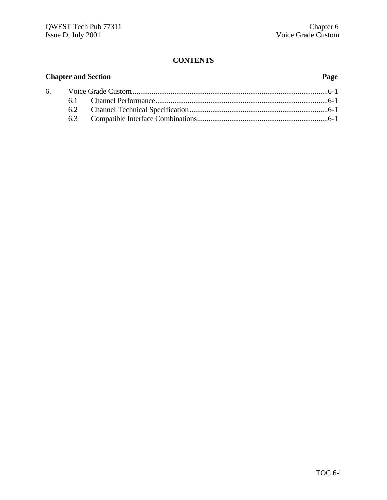### **CONTENTS**

## **Chapter and Section Page** 6. Voice Grade Custom........................................................................................................6-1 6.1 Channel Performance...........................................................................................6-1 6.2 Channel Technical Specification.........................................................................6-1 6.3 Compatible Interface Combinations.....................................................................6-1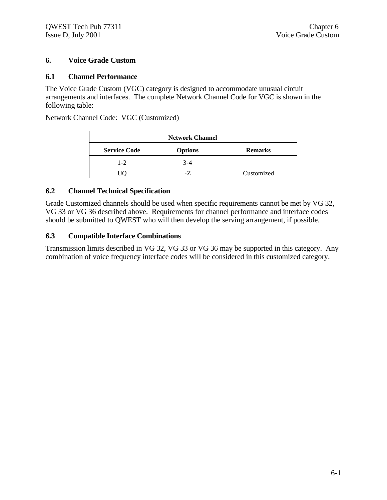### **6. Voice Grade Custom**

#### **6.1 Channel Performance**

The Voice Grade Custom (VGC) category is designed to accommodate unusual circuit arrangements and interfaces. The complete Network Channel Code for VGC is shown in the following table:

Network Channel Code: VGC (Customized)

| <b>Network Channel</b>                                  |     |            |  |
|---------------------------------------------------------|-----|------------|--|
| <b>Service Code</b><br><b>Options</b><br><b>Remarks</b> |     |            |  |
| $1 - 2$                                                 | 3-4 |            |  |
|                                                         | -7  | Customized |  |

#### **6.2 Channel Technical Specification**

Grade Customized channels should be used when specific requirements cannot be met by VG 32, VG 33 or VG 36 described above. Requirements for channel performance and interface codes should be submitted to QWEST who will then develop the serving arrangement, if possible.

#### **6.3 Compatible Interface Combinations**

Transmission limits described in VG 32, VG 33 or VG 36 may be supported in this category. Any combination of voice frequency interface codes will be considered in this customized category.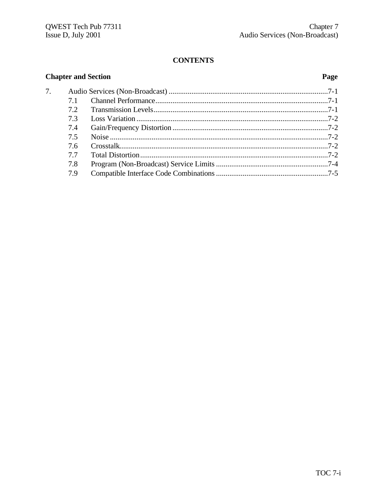## **CONTENTS**

## **Chapter and Section**

## Page

| 7. |     |  |
|----|-----|--|
|    | 71  |  |
|    | 72  |  |
|    | 7.3 |  |
|    | 7.4 |  |
|    | 7.5 |  |
|    | 7.6 |  |
|    | 77  |  |
|    | 7.8 |  |
|    | 7.9 |  |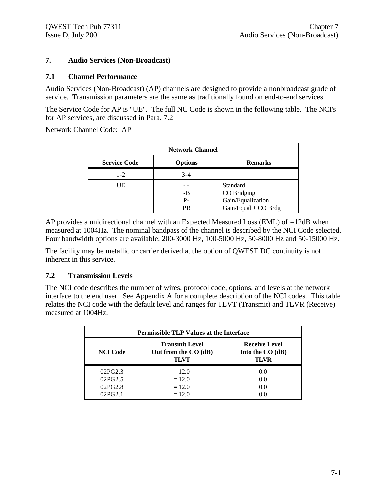#### **7. Audio Services (Non-Broadcast)**

#### **7.1 Channel Performance**

Audio Services (Non-Broadcast) (AP) channels are designed to provide a nonbroadcast grade of service. Transmission parameters are the same as traditionally found on end-to-end services.

The Service Code for AP is "UE". The full NC Code is shown in the following table. The NCI's for AP services, are discussed in Para. 7.2

Network Channel Code: AP

| <b>Network Channel</b> |                   |                                                                        |  |
|------------------------|-------------------|------------------------------------------------------------------------|--|
| <b>Service Code</b>    | <b>Options</b>    | <b>Remarks</b>                                                         |  |
| $1 - 2$                | $3-4$             |                                                                        |  |
| UE                     | -B<br>$P -$<br>РB | Standard<br>CO Bridging<br>Gain/Equalization<br>$Gain/Equal + CO Brdg$ |  |

AP provides a unidirectional channel with an Expected Measured Loss (EML) of =12dB when measured at 1004Hz. The nominal bandpass of the channel is described by the NCI Code selected. Four bandwidth options are available; 200-3000 Hz, 100-5000 Hz, 50-8000 Hz and 50-15000 Hz.

The facility may be metallic or carrier derived at the option of QWEST DC continuity is not inherent in this service.

#### **7.2 Transmission Levels**

The NCI code describes the number of wires, protocol code, options, and levels at the network interface to the end user. See Appendix A for a complete description of the NCI codes. This table relates the NCI code with the default level and ranges for TLVT (Transmit) and TLVR (Receive) measured at 1004Hz.

| <b>Permissible TLP Values at the Interface</b>                           |          |                                                   |  |
|--------------------------------------------------------------------------|----------|---------------------------------------------------|--|
| <b>Transmit Level</b><br><b>NCI Code</b><br>Out from the CO (dB)<br>TLVT |          | <b>Receive Level</b><br>Into the $CO(dB)$<br>TLVR |  |
| 02PG2.3                                                                  | $= 12.0$ | 0.0                                               |  |
| 02PG2.5                                                                  | $= 12.0$ | 0.0                                               |  |
| 02PG2.8                                                                  | $= 12.0$ | 0.0                                               |  |
| 02PG2.1                                                                  | $= 12.0$ | (1.0)                                             |  |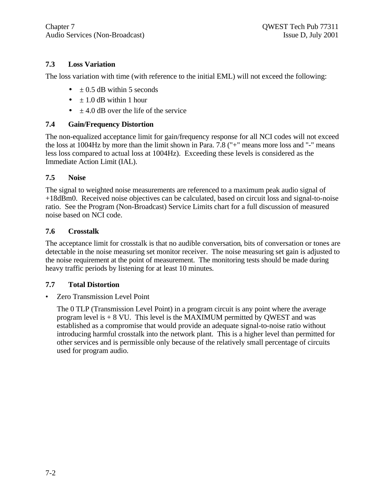## **7.3 Loss Variation**

The loss variation with time (with reference to the initial EML) will not exceed the following:

- $\bullet$   $\pm$  0.5 dB within 5 seconds
- $\bullet$   $\pm$  1.0 dB within 1 hour
- $\bullet$   $\pm$  4.0 dB over the life of the service

#### **7.4 Gain/Frequency Distortion**

The non-equalized acceptance limit for gain/frequency response for all NCI codes will not exceed the loss at 1004Hz by more than the limit shown in Para. 7.8 ("+" means more loss and "-" means less loss compared to actual loss at 1004Hz). Exceeding these levels is considered as the Immediate Action Limit (IAL).

## **7.5 Noise**

The signal to weighted noise measurements are referenced to a maximum peak audio signal of +18dBm0. Received noise objectives can be calculated, based on circuit loss and signal-to-noise ratio. See the Program (Non-Broadcast) Service Limits chart for a full discussion of measured noise based on NCI code.

#### **7.6 Crosstalk**

The acceptance limit for crosstalk is that no audible conversation, bits of conversation or tones are detectable in the noise measuring set monitor receiver. The noise measuring set gain is adjusted to the noise requirement at the point of measurement. The monitoring tests should be made during heavy traffic periods by listening for at least 10 minutes.

## **7.7 Total Distortion**

• Zero Transmission Level Point

The 0 TLP (Transmission Level Point) in a program circuit is any point where the average program level is  $+8$  VU. This level is the MAXIMUM permitted by QWEST and was established as a compromise that would provide an adequate signal-to-noise ratio without introducing harmful crosstalk into the network plant. This is a higher level than permitted for other services and is permissible only because of the relatively small percentage of circuits used for program audio.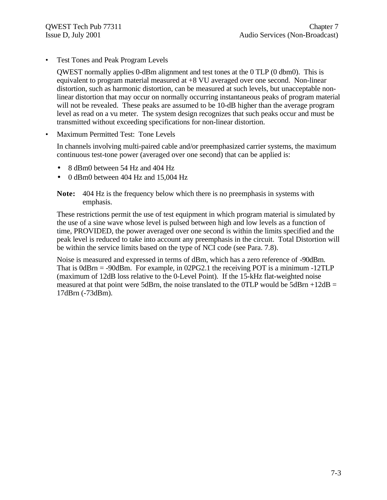• Test Tones and Peak Program Levels

QWEST normally applies 0-dBm alignment and test tones at the 0 TLP (0 dbm0). This is equivalent to program material measured at +8 VU averaged over one second. Non-linear distortion, such as harmonic distortion, can be measured at such levels, but unacceptable nonlinear distortion that may occur on normally occurring instantaneous peaks of program material will not be revealed. These peaks are assumed to be 10-dB higher than the average program level as read on a vu meter. The system design recognizes that such peaks occur and must be transmitted without exceeding specifications for non-linear distortion.

• Maximum Permitted Test: Tone Levels

In channels involving multi-paired cable and/or preemphasized carrier systems, the maximum continuous test-tone power (averaged over one second) that can be applied is:

- 8 dBm0 between 54 Hz and 404 Hz
- 0 dBm0 between 404 Hz and 15,004 Hz

**Note:** 404 Hz is the frequency below which there is no preemphasis in systems with emphasis.

These restrictions permit the use of test equipment in which program material is simulated by the use of a sine wave whose level is pulsed between high and low levels as a function of time, PROVIDED, the power averaged over one second is within the limits specified and the peak level is reduced to take into account any preemphasis in the circuit. Total Distortion will be within the service limits based on the type of NCI code (see Para. 7.8).

Noise is measured and expressed in terms of dBm, which has a zero reference of -90dBm. That is 0dBrn = -90dBm. For example, in 02PG2.1 the receiving POT is a minimum -12TLP (maximum of 12dB loss relative to the 0-Level Point). If the 15-kHz flat-weighted noise measured at that point were 5dBrn, the noise translated to the 0TLP would be 5dBrn  $+12dB =$ 17dBrn (-73dBm).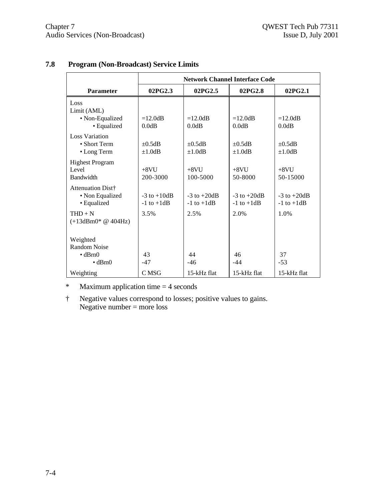|                                                                                    | <b>Network Channel Interface Code</b> |                                   |                                   |                                   |
|------------------------------------------------------------------------------------|---------------------------------------|-----------------------------------|-----------------------------------|-----------------------------------|
| <b>Parameter</b>                                                                   | 02PG2.3                               | 02PG2.5                           | 02PG2.8                           | 02PG2.1                           |
| Loss<br>Limit (AML)<br>• Non-Equalized<br>• Equalized                              | $=12.0dB$<br>0.0dB                    | $=12.0dB$<br>0.0dB                | $=12.0dB$<br>0.0dB                | $=12.0dB$<br>0.0dB                |
| <b>Loss Variation</b><br>• Short Term<br>• Long Term                               | $\pm 0.5$ dB<br>$\pm 1.0$ dB          | $\pm 0.5$ dB<br>$\pm 1.0$ dB      | $\pm 0.5$ dB<br>$\pm 1.0$ dB      | $\pm 0.5$ dB<br>$\pm 1.0$ dB      |
| <b>Highest Program</b><br>Level<br>Bandwidth                                       | $+8VI$<br>200-3000                    | $+8VI$<br>100-5000                | $+8VI$<br>50-8000                 | $+8VI$<br>50-15000                |
| Attenuation Dist†<br>• Non Equalized<br>• Equalized                                | $-3$ to $+10dB$<br>$-1$ to $+1dB$     | $-3$ to $+20dB$<br>$-1$ to $+1dB$ | $-3$ to $+20dB$<br>$-1$ to $+1dB$ | $-3$ to $+20dB$<br>$-1$ to $+1dB$ |
| $THD + N$<br>$(+13$ dBm $0$ * @ 404Hz)                                             | 3.5%                                  | 2.5%                              | 2.0%                              | 1.0%                              |
| Weighted<br><b>Random Noise</b><br>$\bullet$ dBrn $\theta$<br>$\cdot$ dBm $\theta$ | 43<br>$-47$                           | 44<br>$-46$                       | 46<br>$-44$                       | 37<br>$-53$                       |
| Weighting                                                                          | C MSG                                 | 15-kHz flat                       | 15-kHz flat                       | 15-kHz flat                       |

## **7.8 Program (Non-Broadcast) Service Limits**

\* Maximum application time = 4 seconds

† Negative values correspond to losses; positive values to gains. Negative number = more loss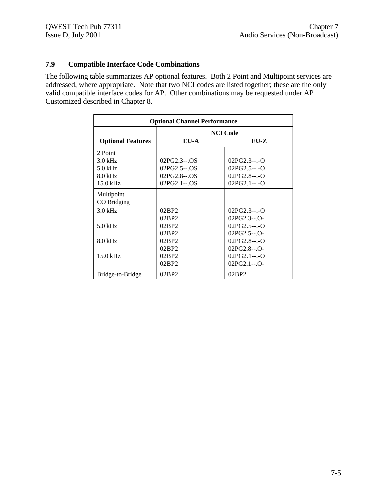## **7.9 Compatible Interface Code Combinations**

The following table summarizes AP optional features. Both 2 Point and Multipoint services are addressed, where appropriate. Note that two NCI codes are listed together; these are the only valid compatible interface codes for AP. Other combinations may be requested under AP Customized described in Chapter 8.

| <b>Optional Channel Performance</b> |                 |               |  |
|-------------------------------------|-----------------|---------------|--|
|                                     | <b>NCI Code</b> |               |  |
| <b>Optional Features</b>            | EU-A            | $EU-Z$        |  |
| 2 Point                             |                 |               |  |
| $3.0$ kHz                           | $02PG2.3-.OS$   | $02PG2.3-.0$  |  |
| $5.0$ kHz                           | 02PG2.5--.OS    | $02PG2.5-.-O$ |  |
| $8.0$ kHz                           | 02PG2.8--.OS    | $02PG2.8---O$ |  |
| 15.0 kHz                            | 02PG2.1--.OS    | $02PG2.1---O$ |  |
| Multipoint                          |                 |               |  |
| CO Bridging                         |                 |               |  |
| $3.0$ kHz                           | 02BP2           | $02PG2.3-.0$  |  |
|                                     | 02BP2           | $02PG2.3-.0-$ |  |
| $5.0$ kHz                           | 02BP2           | $02PG2.5-.-O$ |  |
|                                     | 02BP2           | 02PG2.5--.O-  |  |
| $8.0$ kHz                           | 02BP2           | $02PG2.8---O$ |  |
|                                     | 02BP2           | $02PG2.8-.O-$ |  |
| $15.0$ kHz                          | 02BP2           | $02PG2.1-.-O$ |  |
|                                     | 02BP2           | $02PG2.1-.O-$ |  |
| Bridge-to-Bridge                    | 02BP2           | 02BP2         |  |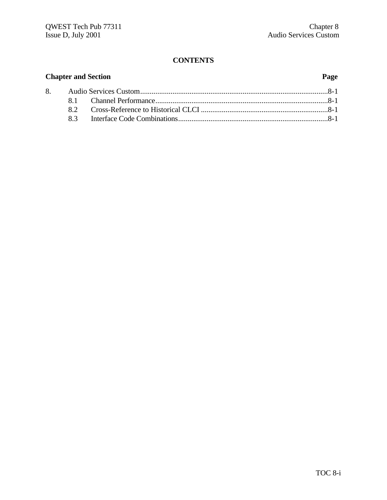#### **CONTENTS**

## **Chapter and Section Page** 8. Audio Services Custom...................................................................................................8-1 8.1 Channel Performance...........................................................................................8-1 8.2 Cross-Reference to Historical CLCI ...................................................................8-1 8.3 Interface Code Combinations...............................................................................8-1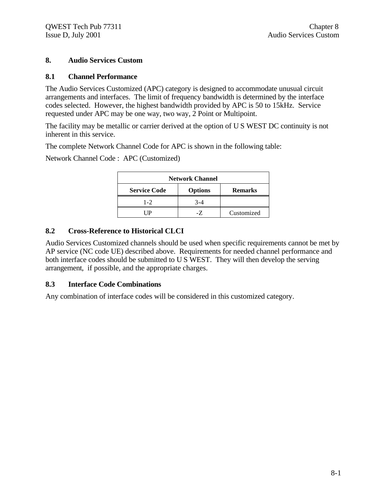#### **8. Audio Services Custom**

#### **8.1 Channel Performance**

The Audio Services Customized (APC) category is designed to accommodate unusual circuit arrangements and interfaces. The limit of frequency bandwidth is determined by the interface codes selected. However, the highest bandwidth provided by APC is 50 to 15kHz. Service requested under APC may be one way, two way, 2 Point or Multipoint.

The facility may be metallic or carrier derived at the option of U S WEST DC continuity is not inherent in this service.

The complete Network Channel Code for APC is shown in the following table:

Network Channel Code : APC (Customized)

| <b>Network Channel</b>                                  |         |            |
|---------------------------------------------------------|---------|------------|
| <b>Service Code</b><br><b>Options</b><br><b>Remarks</b> |         |            |
| $1 - 2$                                                 | $3 - 4$ |            |
|                                                         |         | Customized |

#### **8.2 Cross-Reference to Historical CLCI**

Audio Services Customized channels should be used when specific requirements cannot be met by AP service (NC code UE) described above. Requirements for needed channel performance and both interface codes should be submitted to U S WEST. They will then develop the serving arrangement, if possible, and the appropriate charges.

#### **8.3 Interface Code Combinations**

Any combination of interface codes will be considered in this customized category.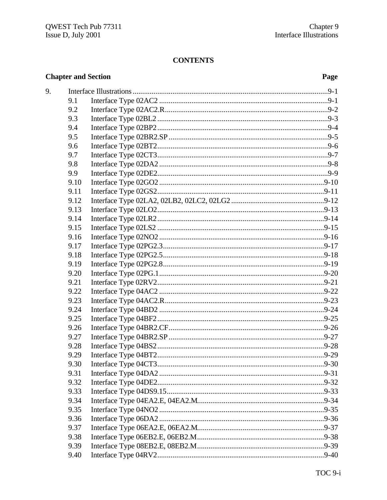## **CONTENTS**

## **Chapter and Section**

## Page

| 9. |      |  |
|----|------|--|
|    | 9.1  |  |
|    | 9.2  |  |
|    | 9.3  |  |
|    | 9.4  |  |
|    | 9.5  |  |
|    | 9.6  |  |
|    | 9.7  |  |
|    | 9.8  |  |
|    | 9.9  |  |
|    | 9.10 |  |
|    | 9.11 |  |
|    | 9.12 |  |
|    | 9.13 |  |
|    | 9.14 |  |
|    | 9.15 |  |
|    | 9.16 |  |
|    | 9.17 |  |
|    | 9.18 |  |
|    | 9.19 |  |
|    | 9.20 |  |
|    | 9.21 |  |
|    | 9.22 |  |
|    | 9.23 |  |
|    | 9.24 |  |
|    | 9.25 |  |
|    | 9.26 |  |
|    | 9.27 |  |
|    | 9.28 |  |
|    | 9.29 |  |
|    | 9.30 |  |
|    | 9.31 |  |
|    | 9.32 |  |
|    | 9.33 |  |
|    | 9.34 |  |
|    | 9.35 |  |
|    | 9.36 |  |
|    | 9.37 |  |
|    | 9.38 |  |
|    | 9.39 |  |
|    | 9.40 |  |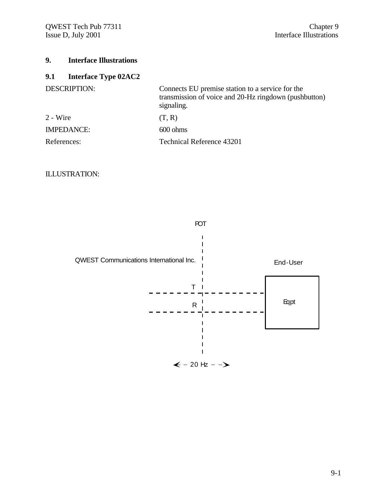## **9. Interface Illustrations**

## **9.1 Interface Type 02AC2**

| <b>DESCRIPTION:</b> | Connects EU premise station to a service for the<br>transmission of voice and 20-Hz ringdown (pushbutton)<br>signaling. |
|---------------------|-------------------------------------------------------------------------------------------------------------------------|
| $2 - Wire$          | (T, R)                                                                                                                  |
| <b>IMPEDANCE:</b>   | $600 \text{ ohms}$                                                                                                      |
| References:         | Technical Reference 43201                                                                                               |

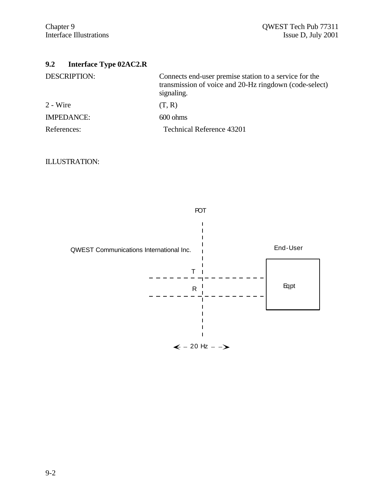## **9.2 Interface Type 02AC2.R**

| <b>DESCRIPTION:</b> | Connects end-user premise station to a service for the<br>transmission of voice and 20-Hz ringdown (code-select)<br>signaling. |
|---------------------|--------------------------------------------------------------------------------------------------------------------------------|
| $2 - Wire$          | (T, R)                                                                                                                         |
| <b>IMPEDANCE:</b>   | $600 \text{ ohms}$                                                                                                             |
| References:         | <b>Technical Reference 43201</b>                                                                                               |

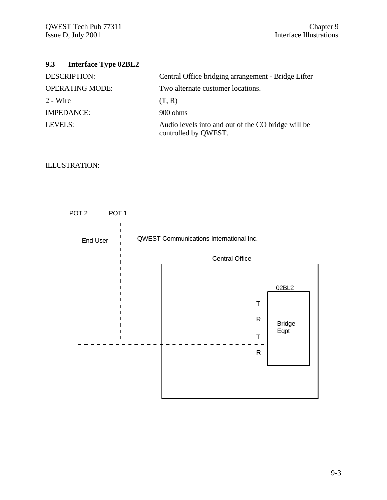## **9.3 Interface Type 02BL2**

| <b>DESCRIPTION:</b>    | Central Office bridging arrangement - Bridge Lifter                        |
|------------------------|----------------------------------------------------------------------------|
| <b>OPERATING MODE:</b> | Two alternate customer locations.                                          |
| $2 - Wire$             | (T, R)                                                                     |
| <b>IMPEDANCE:</b>      | 900 ohms                                                                   |
| LEVELS:                | Audio levels into and out of the CO bridge will be<br>controlled by QWEST. |

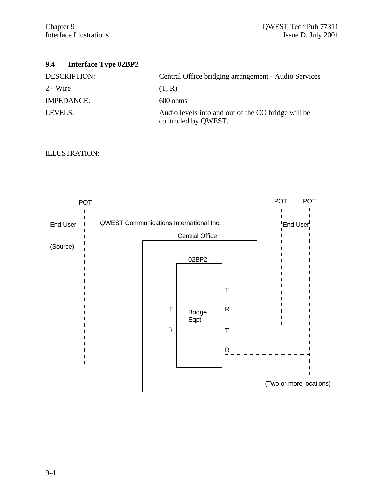## **9.4 Interface Type 02BP2**

| <b>DESCRIPTION:</b> | Central Office bridging arrangement - Audio Services                       |
|---------------------|----------------------------------------------------------------------------|
| $2 - Wire$          | (T, R)                                                                     |
| <b>IMPEDANCE:</b>   | $600 \text{ ohms}$                                                         |
| LEVELS:             | Audio levels into and out of the CO bridge will be<br>controlled by QWEST. |

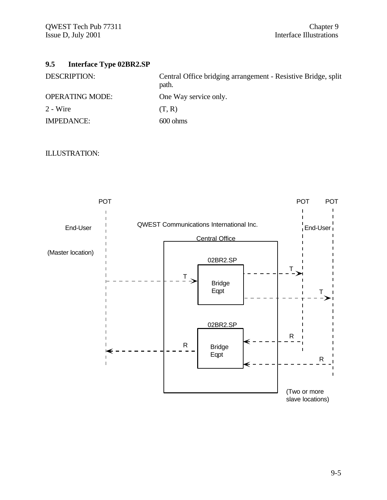## **9.5 Interface Type 02BR2.SP**

| <b>DESCRIPTION:</b>    | Central Office bridging arrangement - Resistive Bridge, split<br>path. |
|------------------------|------------------------------------------------------------------------|
| <b>OPERATING MODE:</b> | One Way service only.                                                  |
| 2 - Wire               | (T, R)                                                                 |
| <b>IMPEDANCE:</b>      | $600 \text{ ohms}$                                                     |

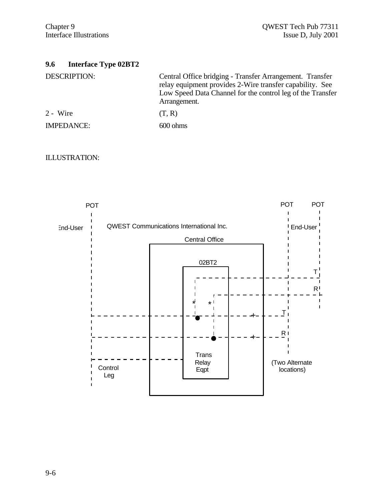## **9.6 Interface Type 02BT2**

| DESCRIPTION:      | Central Office bridging - Transfer Arrangement. Transfer<br>relay equipment provides 2-Wire transfer capability. See<br>Low Speed Data Channel for the control leg of the Transfer<br>Arrangement. |
|-------------------|----------------------------------------------------------------------------------------------------------------------------------------------------------------------------------------------------|
| $2 - Wire$        | (T, R)                                                                                                                                                                                             |
| <b>IMPEDANCE:</b> | $600 \text{ ohms}$                                                                                                                                                                                 |

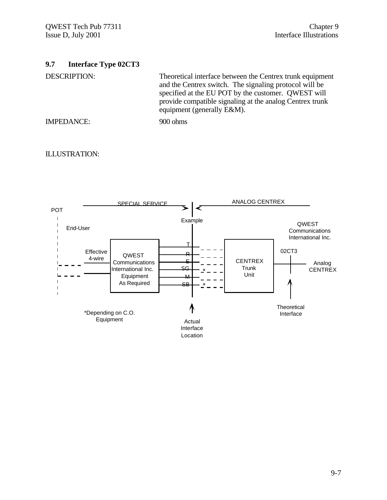## **9.7 Interface Type 02CT3**

DESCRIPTION: Theoretical interface between the Centrex trunk equipment and the Centrex switch. The signaling protocol will be specified at the EU POT by the customer. QWEST will provide compatible signaling at the analog Centrex trunk equipment (generally E&M).

IMPEDANCE: 900 ohms

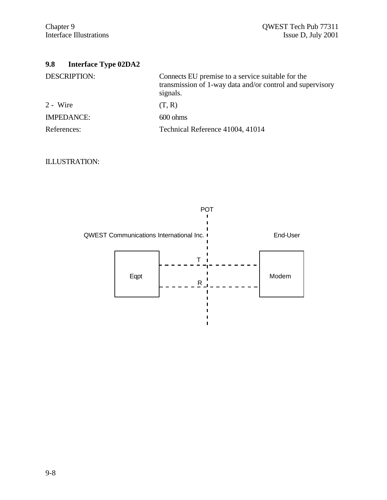| <b>DESCRIPTION:</b> | Connects EU premise to a service suitable for the<br>transmission of 1-way data and/or control and supervisory<br>signals. |
|---------------------|----------------------------------------------------------------------------------------------------------------------------|
| $2 - Wire$          | (T, R)                                                                                                                     |
| <b>IMPEDANCE:</b>   | $600 \text{ ohms}$                                                                                                         |
| References:         | Technical Reference 41004, 41014                                                                                           |



 $\mathbf I$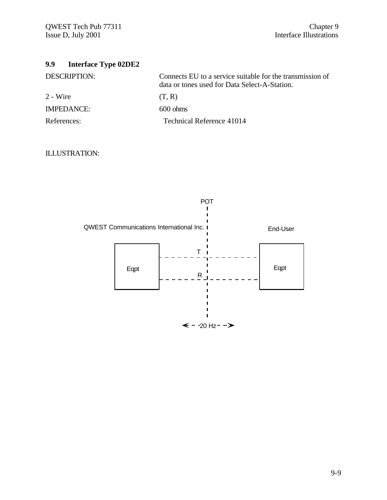## **9.9 Interface Type 02DE2**

| DESCRIPTION:      | Connects EU to a service suitable for the transmission of<br>data or tones used for Data Select-A-Station. |
|-------------------|------------------------------------------------------------------------------------------------------------|
| 2 - Wire          | (T, R)                                                                                                     |
| <b>IMPEDANCE:</b> | $600 \text{ ohms}$                                                                                         |
| References:       | Technical Reference 41014                                                                                  |

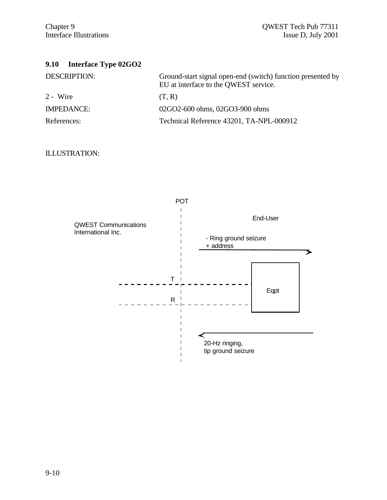## **9.10 Interface Type 02GO2**

| <b>DESCRIPTION:</b> | Ground-start signal open-end (switch) function presented by<br>EU at interface to the QWEST service. |
|---------------------|------------------------------------------------------------------------------------------------------|
| 2 - Wire            | (T, R)                                                                                               |
| <b>IMPEDANCE:</b>   | 02GO2-600 ohms, 02GO3-900 ohms                                                                       |
| References:         | Technical Reference 43201, TA-NPL-000912                                                             |

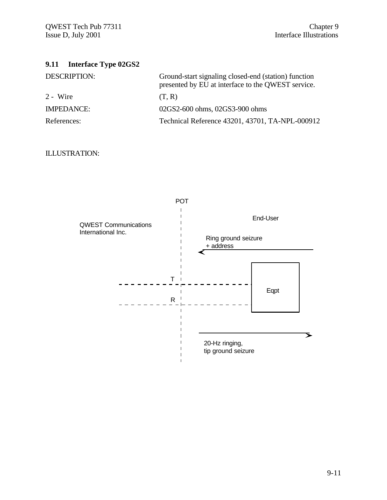# **9.11 Interface Type 02GS2**

| <b>DESCRIPTION:</b> | Ground-start signaling closed-end (station) function<br>presented by EU at interface to the QWEST service. |
|---------------------|------------------------------------------------------------------------------------------------------------|
| 2 - Wire            | (T, R)                                                                                                     |
| <b>IMPEDANCE:</b>   | 02GS2-600 ohms, 02GS3-900 ohms                                                                             |
| References:         | Technical Reference 43201, 43701, TA-NPL-000912                                                            |

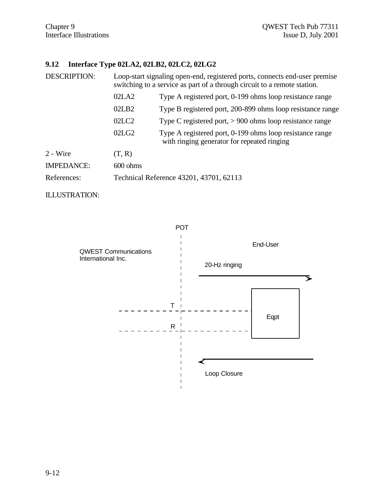## **9.12 Interface Type 02LA2, 02LB2, 02LC2, 02LG2**

| <b>DESCRIPTION:</b> | Loop-start signaling open-end, registered ports, connects end-user premise<br>switching to a service as part of a through circuit to a remote station. |                                                                                                         |
|---------------------|--------------------------------------------------------------------------------------------------------------------------------------------------------|---------------------------------------------------------------------------------------------------------|
|                     | 02LA2                                                                                                                                                  | Type A registered port, 0-199 ohms loop resistance range                                                |
|                     | 02LB2                                                                                                                                                  | Type B registered port, 200-899 ohms loop resistance range                                              |
|                     | 02 <sub>L</sub> <sub>C2</sub>                                                                                                                          | Type C registered port, $> 900$ ohms loop resistance range                                              |
|                     | 02LG2                                                                                                                                                  | Type A registered port, 0-199 ohms loop resistance range<br>with ringing generator for repeated ringing |
| 2 - Wire            | (T, R)                                                                                                                                                 |                                                                                                         |
| <b>IMPEDANCE:</b>   | $600 \text{ ohms}$                                                                                                                                     |                                                                                                         |
| References:         |                                                                                                                                                        | Technical Reference 43201, 43701, 62113                                                                 |

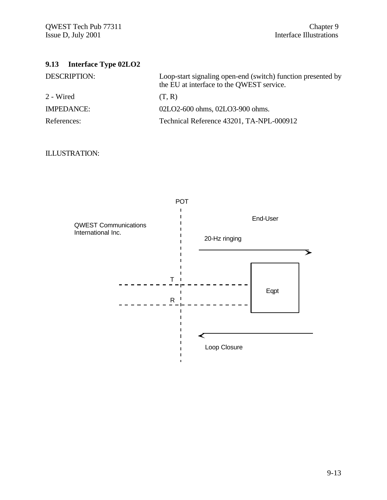# **9.13 Interface Type 02LO2**

| <b>DESCRIPTION:</b> | Loop-start signaling open-end (switch) function presented by<br>the EU at interface to the QWEST service. |
|---------------------|-----------------------------------------------------------------------------------------------------------|
| 2 - Wired           | (T, R)                                                                                                    |
| <b>IMPEDANCE:</b>   | 02LO2-600 ohms, 02LO3-900 ohms.                                                                           |
| References:         | Technical Reference 43201, TA-NPL-000912                                                                  |

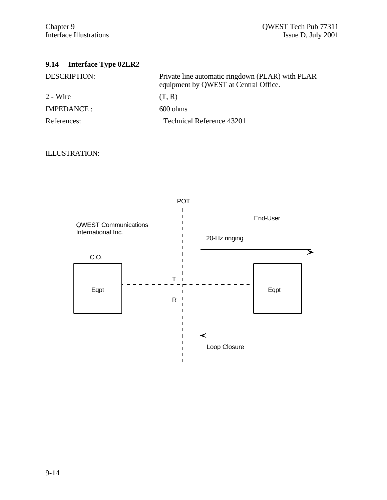## **9.14 Interface Type 02LR2**

| <b>DESCRIPTION:</b> | Private line automatic ringdown (PLAR) with PLAR<br>equipment by QWEST at Central Office. |
|---------------------|-------------------------------------------------------------------------------------------|
| 2 - Wire            | (T, R)                                                                                    |
| <b>IMPEDANCE:</b>   | $600 \text{ ohms}$                                                                        |
| References:         | Technical Reference 43201                                                                 |

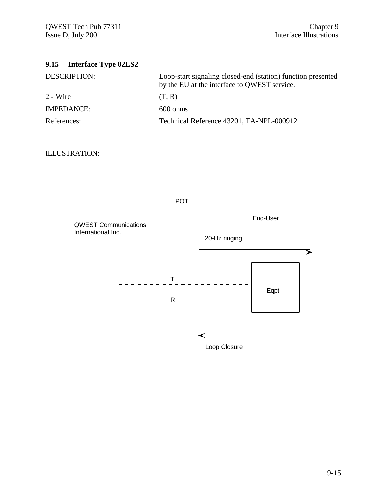| 9.15 Interface Type 02LS2 |                                                                                                              |
|---------------------------|--------------------------------------------------------------------------------------------------------------|
| <b>DESCRIPTION:</b>       | Loop-start signaling closed-end (station) function presented<br>by the EU at the interface to QWEST service. |
| $2 - Wire$                | (T, R)                                                                                                       |
| <b>IMPEDANCE:</b>         | $600 \text{ ohms}$                                                                                           |
| References:               | Technical Reference 43201, TA-NPL-000912                                                                     |

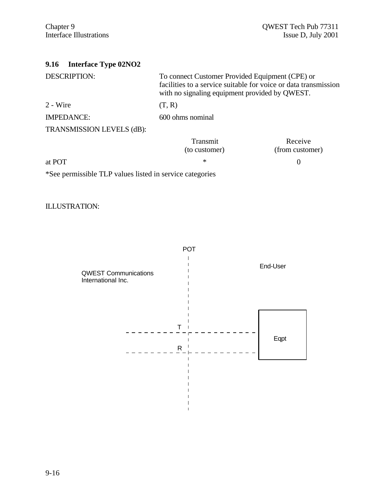| <b>Interface Type 02NO2</b><br>9.16                      |                                                                                                                                                                      |                            |
|----------------------------------------------------------|----------------------------------------------------------------------------------------------------------------------------------------------------------------------|----------------------------|
| <b>DESCRIPTION:</b>                                      | To connect Customer Provided Equipment (CPE) or<br>facilities to a service suitable for voice or data transmission<br>with no signaling equipment provided by QWEST. |                            |
| 2 - Wire                                                 | (T, R)                                                                                                                                                               |                            |
| <b>IMPEDANCE:</b>                                        | 600 ohms nominal                                                                                                                                                     |                            |
| TRANSMISSION LEVELS (dB):                                |                                                                                                                                                                      |                            |
|                                                          | Transmit<br>(to customer)                                                                                                                                            | Receive<br>(from customer) |
| at POT                                                   | $\ast$                                                                                                                                                               | 0                          |
| *See permissible TLP values listed in service categories |                                                                                                                                                                      |                            |

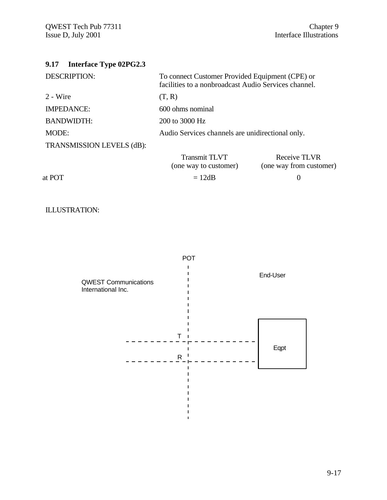| Interface Type 02PG2.3<br>9.17 |                                                                                                         |                                         |
|--------------------------------|---------------------------------------------------------------------------------------------------------|-----------------------------------------|
| <b>DESCRIPTION:</b>            | To connect Customer Provided Equipment (CPE) or<br>facilities to a nonbroadcast Audio Services channel. |                                         |
| 2 - Wire                       | (T, R)                                                                                                  |                                         |
| <b>IMPEDANCE:</b>              | 600 ohms nominal                                                                                        |                                         |
| <b>BANDWIDTH:</b>              | 200 to 3000 Hz                                                                                          |                                         |
| MODE:                          | Audio Services channels are unidirectional only.                                                        |                                         |
| TRANSMISSION LEVELS (dB):      |                                                                                                         |                                         |
|                                | <b>Transmit TLVT</b><br>(one way to customer)                                                           | Receive TLVR<br>(one way from customer) |
| at POT                         | $= 12dB$                                                                                                | 0                                       |
|                                |                                                                                                         |                                         |



 $\blacksquare$  $\mathbf{I}$  $\mathbf{I}$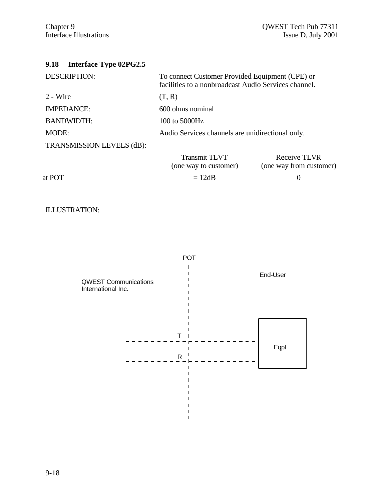## **9.18 Interface Type 02PG2.5**

| <b>DESCRIPTION:</b>       | To connect Customer Provided Equipment (CPE) or<br>facilities to a nonbroadcast Audio Services channel. |                                         |
|---------------------------|---------------------------------------------------------------------------------------------------------|-----------------------------------------|
| 2 - Wire                  | (T, R)                                                                                                  |                                         |
| <b>IMPEDANCE:</b>         | 600 ohms nominal                                                                                        |                                         |
| <b>BANDWIDTH:</b>         | 100 to $5000$ Hz                                                                                        |                                         |
| MODE:                     | Audio Services channels are unidirectional only.                                                        |                                         |
| TRANSMISSION LEVELS (dB): |                                                                                                         |                                         |
|                           | <b>Transmit TLVT</b><br>(one way to customer)                                                           | Receive TLVR<br>(one way from customer) |
| at POT                    | $= 12dB$                                                                                                |                                         |

## ILLUSTRATION:



 $\mathbf{I}$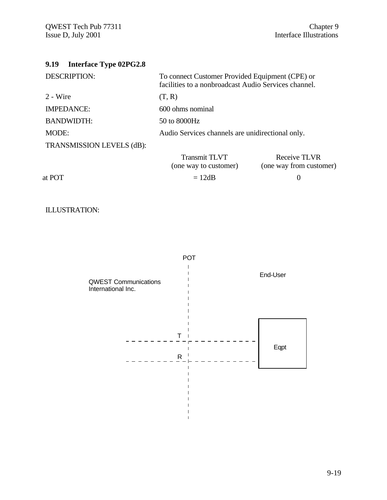| <b>Interface Type 02PG2.8</b><br>9.19 |                                                                                                         |                                                |
|---------------------------------------|---------------------------------------------------------------------------------------------------------|------------------------------------------------|
| <b>DESCRIPTION:</b>                   | To connect Customer Provided Equipment (CPE) or<br>facilities to a nonbroadcast Audio Services channel. |                                                |
| 2 - Wire                              | (T, R)                                                                                                  |                                                |
| <b>IMPEDANCE:</b>                     | 600 ohms nominal                                                                                        |                                                |
| <b>BANDWIDTH:</b>                     | 50 to 8000Hz                                                                                            |                                                |
| MODE:                                 | Audio Services channels are unidirectional only.                                                        |                                                |
| TRANSMISSION LEVELS (dB):             |                                                                                                         |                                                |
|                                       | <b>Transmit TLVT</b><br>(one way to customer)                                                           | <b>Receive TLVR</b><br>(one way from customer) |
| at POT                                | $= 12dB$                                                                                                | $\left( \right)$                               |
|                                       |                                                                                                         |                                                |



 $\mathbf{I}$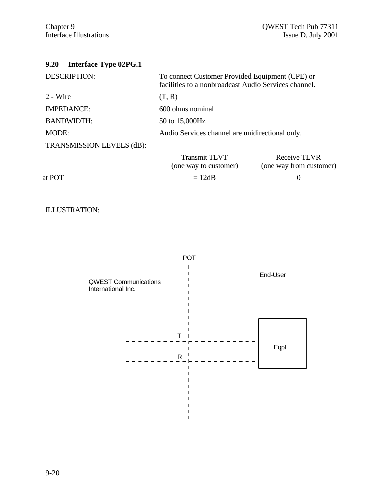| <b>Interface Type 02PG.1</b><br>9.20 |                                                                                                         |                                         |
|--------------------------------------|---------------------------------------------------------------------------------------------------------|-----------------------------------------|
| <b>DESCRIPTION:</b>                  | To connect Customer Provided Equipment (CPE) or<br>facilities to a nonbroadcast Audio Services channel. |                                         |
| 2 - Wire                             | (T, R)                                                                                                  |                                         |
| <b>IMPEDANCE:</b>                    | 600 ohms nominal                                                                                        |                                         |
| <b>BANDWIDTH:</b>                    | 50 to 15,000Hz                                                                                          |                                         |
| MODE:                                | Audio Services channel are unidirectional only.                                                         |                                         |
| TRANSMISSION LEVELS (dB):            |                                                                                                         |                                         |
|                                      | <b>Transmit TLVT</b><br>(one way to customer)                                                           | Receive TLVR<br>(one way from customer) |
| at POT                               | $= 12dB$                                                                                                | $\theta$                                |
|                                      |                                                                                                         |                                         |



 $\mathbf{I}$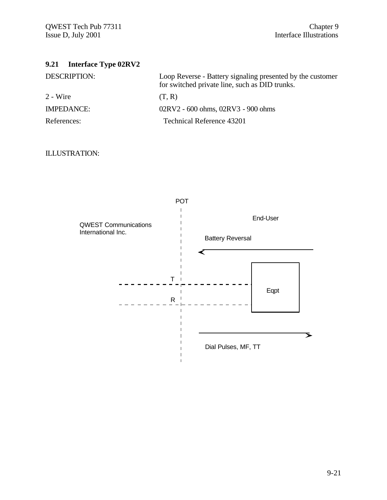## **9.21 Interface Type 02RV2**

| <b>DESCRIPTION:</b> | Loop Reverse - Battery signaling presented by the customer<br>for switched private line, such as DID trunks. |
|---------------------|--------------------------------------------------------------------------------------------------------------|
| 2 - Wire            | (T, R)                                                                                                       |
| <b>IMPEDANCE:</b>   | 02RV2 - 600 ohms, 02RV3 - 900 ohms                                                                           |
| References:         | Technical Reference 43201                                                                                    |

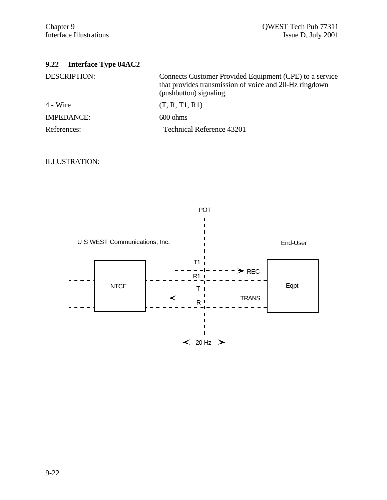| <b>Interface Type 04AC2</b><br>9.22 |                                                                                                                                              |
|-------------------------------------|----------------------------------------------------------------------------------------------------------------------------------------------|
| <b>DESCRIPTION:</b>                 | Connects Customer Provided Equipment (CPE) to a service<br>that provides transmission of voice and 20-Hz ringdown<br>(pushbutton) signaling. |
| 4 - Wire                            | (T, R, T1, R1)                                                                                                                               |
| <b>IMPEDANCE:</b>                   | $600 \text{ ohms}$                                                                                                                           |
| References:                         | <b>Technical Reference 43201</b>                                                                                                             |

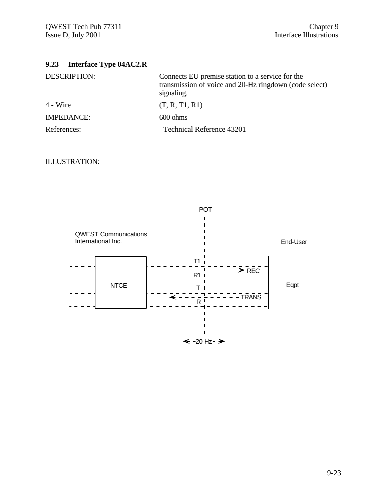| 9.23 | <b>Interface Type 04AC2.R</b> |  |  |
|------|-------------------------------|--|--|
|------|-------------------------------|--|--|

| <b>DESCRIPTION:</b> | Connects EU premise station to a service for the<br>transmission of voice and 20-Hz ringdown (code select)<br>signaling. |
|---------------------|--------------------------------------------------------------------------------------------------------------------------|
| 4 - Wire            | (T, R, T1, R1)                                                                                                           |
| <b>IMPEDANCE:</b>   | $600 \text{ ohms}$                                                                                                       |
| References:         | <b>Technical Reference 43201</b>                                                                                         |

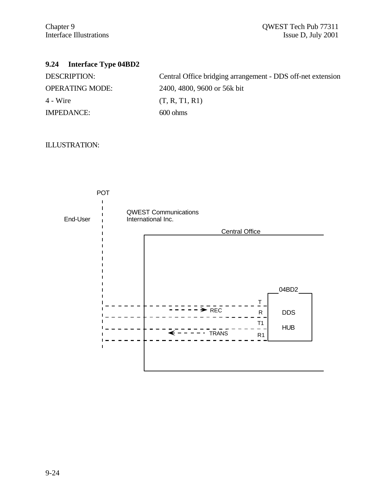# **9.24 Interface Type 04BD2**

| Central Office bridging arrangement - DDS off-net extension |
|-------------------------------------------------------------|
| 2400, 4800, 9600 or 56k bit                                 |
| (T, R, T1, R1)                                              |
| $600 \text{ ohms}$                                          |
|                                                             |

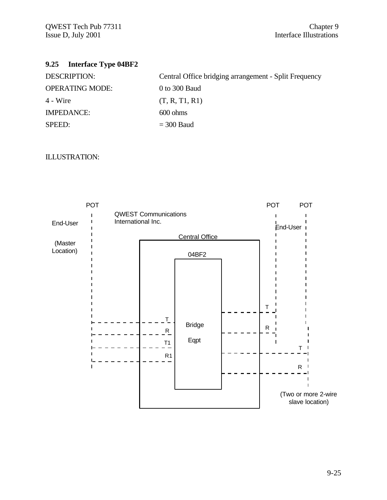# **9.25 Interface Type 04BF2**

| <b>DESCRIPTION:</b>    | Central Office bridging arrangement - Split Frequency |
|------------------------|-------------------------------------------------------|
| <b>OPERATING MODE:</b> | 0 to 300 Baud                                         |
| $4 - Wire$             | (T, R, T1, R1)                                        |
| <b>IMPEDANCE:</b>      | $600 \text{ ohms}$                                    |
| SPEED:                 | $=$ 300 Baud                                          |

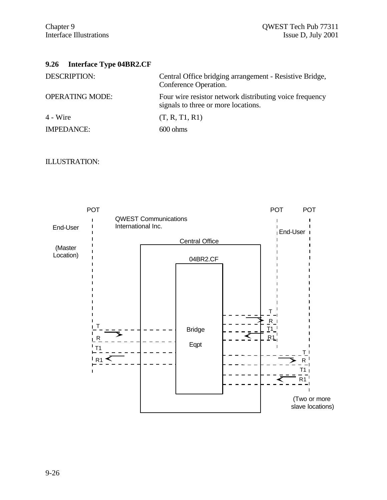# **9.26 Interface Type 04BR2.CF**

| <b>DESCRIPTION:</b>    | Central Office bridging arrangement - Resistive Bridge,<br>Conference Operation.               |
|------------------------|------------------------------------------------------------------------------------------------|
| <b>OPERATING MODE:</b> | Four wire resistor network distributing voice frequency<br>signals to three or more locations. |
| 4 - Wire               | (T, R, T1, R1)                                                                                 |
| <b>IMPEDANCE:</b>      | $600 \text{ ohms}$                                                                             |

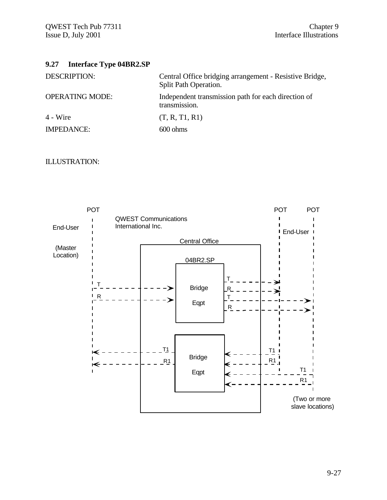# **9.27 Interface Type 04BR2.SP**

| <b>DESCRIPTION:</b>    | Central Office bridging arrangement - Resistive Bridge,<br>Split Path Operation. |
|------------------------|----------------------------------------------------------------------------------|
| <b>OPERATING MODE:</b> | Independent transmission path for each direction of<br>transmission.             |
| $4 - Wire$             | (T, R, T1, R1)                                                                   |
| <b>IMPEDANCE:</b>      | $600 \text{ ohms}$                                                               |

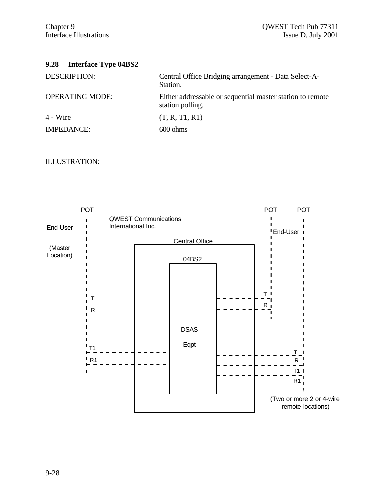# **9.28 Interface Type 04BS2**

| <b>DESCRIPTION:</b>    | Central Office Bridging arrangement - Data Select-A-<br>Station.              |
|------------------------|-------------------------------------------------------------------------------|
| <b>OPERATING MODE:</b> | Either addressable or sequential master station to remote<br>station polling. |
| 4 - Wire               | (T, R, T1, R1)                                                                |
| <b>IMPEDANCE:</b>      | $600 \text{ ohms}$                                                            |
|                        |                                                                               |

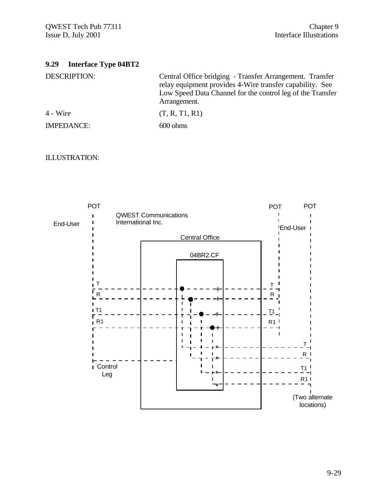# **9.29 Interface Type 04BT2**

Central Office bridging - Transfer Arrangement. Transfer relay equipment provides 4-Wire transfer capability. See Low Speed Data Channel for the control leg of the Transfer Arrangement.

| 4 - Wire          | (T, R, T1, R1)     |
|-------------------|--------------------|
| <b>IMPEDANCE:</b> | $600 \text{ ohms}$ |

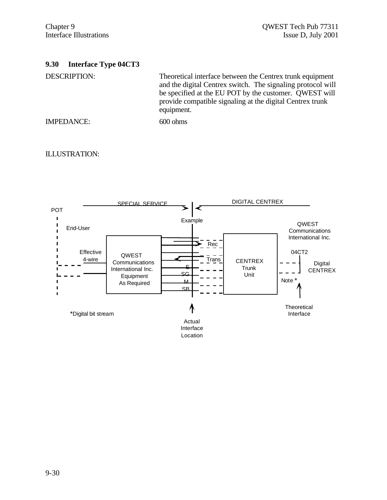# **9.30 Interface Type 04CT3**

DESCRIPTION: Theoretical interface between the Centrex trunk equipment and the digital Centrex switch. The signaling protocol will be specified at the EU POT by the customer. QWEST will provide compatible signaling at the digital Centrex trunk equipment.

IMPEDANCE: 600 ohms

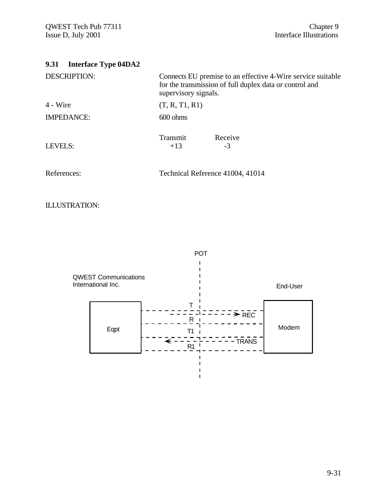| <b>Interface Type 04DA2</b><br>9.31 |                                                                                                                                                |  |
|-------------------------------------|------------------------------------------------------------------------------------------------------------------------------------------------|--|
| <b>DESCRIPTION:</b>                 | Connects EU premise to an effective 4-Wire service suitable<br>for the transmission of full duplex data or control and<br>supervisory signals. |  |
| $4 - Wire$                          | (T, R, T1, R1)                                                                                                                                 |  |
| <b>IMPEDANCE:</b>                   | $600 \text{ ohms}$                                                                                                                             |  |
| <b>LEVELS:</b>                      | Transmit<br>Receive<br>$+13$<br>$-3$                                                                                                           |  |
| References:                         | Technical Reference 41004, 41014                                                                                                               |  |
|                                     |                                                                                                                                                |  |

ILLUSTRATION:

 $\mathbf{I}$  $\blacksquare$ QWEST Communications  $\mathbf I$ International Inc. End-User T ā REC  $\overline{R}$  $\blacksquare$  $\overline{a}$ Modem EqptT1 TRANS  $R_1$  $\blacksquare$  $\mathbf I$  $\mathbf I$  $\mathbf{I}$ 

 $\mathbf{I}$ 

POT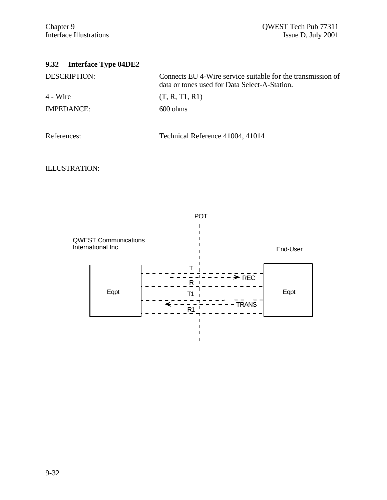| <b>Interface Type 04DE2</b><br>9.32 |                                                                                                              |
|-------------------------------------|--------------------------------------------------------------------------------------------------------------|
| <b>DESCRIPTION:</b>                 | Connects EU 4-Wire service suitable for the transmission of<br>data or tones used for Data Select-A-Station. |
| $4 - Wire$                          | (T, R, T1, R1)                                                                                               |
| <b>IMPEDANCE:</b>                   | $600 \text{ ohms}$                                                                                           |
| References:                         | Technical Reference 41004, 41014                                                                             |

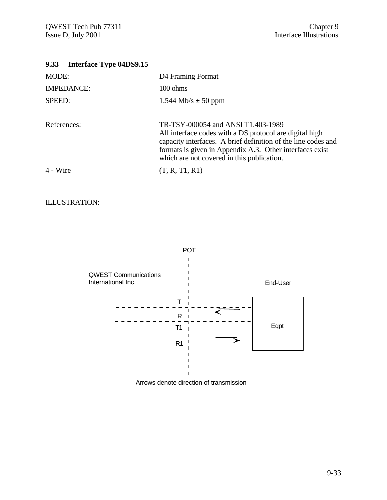# **9.33 Interface Type 04DS9.15**

| D <sub>4</sub> Framing Format                                                                                                                                                                                                                                            |
|--------------------------------------------------------------------------------------------------------------------------------------------------------------------------------------------------------------------------------------------------------------------------|
| $100 \text{ ohms}$                                                                                                                                                                                                                                                       |
| $1.544$ Mb/s $\pm$ 50 ppm                                                                                                                                                                                                                                                |
| TR-TSY-000054 and ANSI T1.403-1989<br>All interface codes with a DS protocol are digital high<br>capacity interfaces. A brief definition of the line codes and<br>formats is given in Appendix A.3. Other interfaces exist<br>which are not covered in this publication. |
| (T, R, T1, R1)                                                                                                                                                                                                                                                           |
|                                                                                                                                                                                                                                                                          |



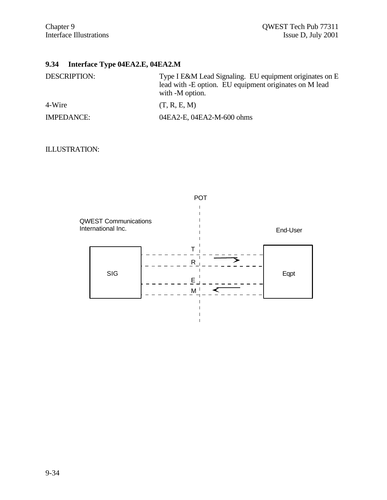# **9.34 Interface Type 04EA2.E, 04EA2.M**

| <b>DESCRIPTION:</b> | Type I E&M Lead Signaling. EU equipment originates on E<br>lead with -E option. EU equipment originates on M lead<br>with -M option. |
|---------------------|--------------------------------------------------------------------------------------------------------------------------------------|
| 4-Wire              | (T, R, E, M)                                                                                                                         |
| <b>IMPEDANCE:</b>   | 04EA2-E, 04EA2-M-600 ohms                                                                                                            |

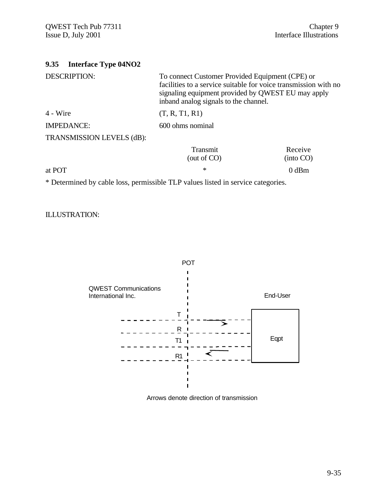| <b>Interface Type 04NO2</b><br>9.35                           |                                                                                                                                                                                                                                                                                                  |                      |
|---------------------------------------------------------------|--------------------------------------------------------------------------------------------------------------------------------------------------------------------------------------------------------------------------------------------------------------------------------------------------|----------------------|
| <b>DESCRIPTION:</b>                                           | To connect Customer Provided Equipment (CPE) or<br>facilities to a service suitable for voice transmission with no<br>signaling equipment provided by QWEST EU may apply<br>inband analog signals to the channel.                                                                                |                      |
| 4 - Wire                                                      | (T, R, T1, R1)                                                                                                                                                                                                                                                                                   |                      |
| <b>IMPEDANCE:</b>                                             | 600 ohms nominal                                                                                                                                                                                                                                                                                 |                      |
| TRANSMISSION LEVELS (dB):                                     |                                                                                                                                                                                                                                                                                                  |                      |
|                                                               | Transmit<br>(out of $CO$ )                                                                                                                                                                                                                                                                       | Receive<br>(into CO) |
| at POT                                                        | $\ast$                                                                                                                                                                                                                                                                                           | $0$ dBm              |
| $\mathbf{v}$ to $\mathbf{v}$ to $\mathbf{v}$ the $\mathbf{v}$ | $\mathbf{r}$ and $\mathbf{r}$ and $\mathbf{r}$ and $\mathbf{r}$ and $\mathbf{r}$ and $\mathbf{r}$ and $\mathbf{r}$ and $\mathbf{r}$ and $\mathbf{r}$ and $\mathbf{r}$ and $\mathbf{r}$ and $\mathbf{r}$ and $\mathbf{r}$ and $\mathbf{r}$ and $\mathbf{r}$ and $\mathbf{r}$ and $\mathbf{r}$ and |                      |

\* Determined by cable loss, permissible TLP values listed in service categories.

ILLUSTRATION:



Arrows denote direction of transmission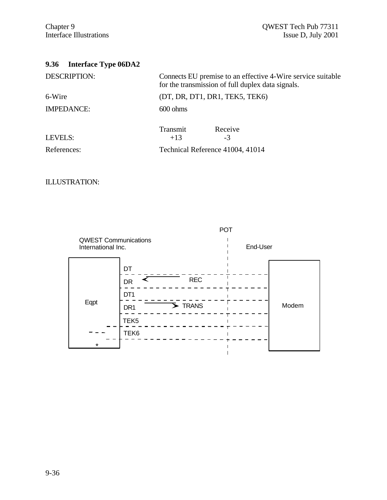| <b>Interface Type 06DA2</b><br>9.36 |                                                                                                                  |
|-------------------------------------|------------------------------------------------------------------------------------------------------------------|
| <b>DESCRIPTION:</b>                 | Connects EU premise to an effective 4-Wire service suitable<br>for the transmission of full duplex data signals. |
| 6-Wire                              | (DT, DR, DT1, DR1, TEK5, TEK6)                                                                                   |
| <b>IMPEDANCE:</b>                   | $600 \text{ ohms}$                                                                                               |
| LEVELS:                             | Transmit<br>Receive<br>$+13$<br>-3                                                                               |
| References:                         | Technical Reference 41004, 41014                                                                                 |

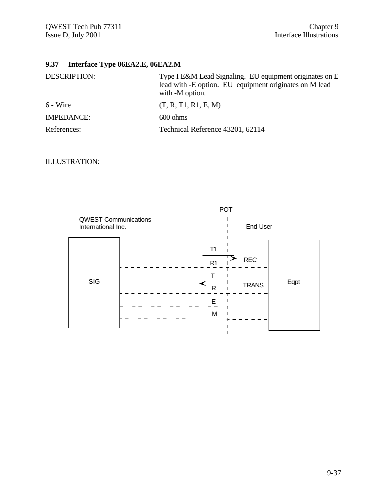# **9.37 Interface Type 06EA2.E, 06EA2.M**

| <b>DESCRIPTION:</b> | Type I E&M Lead Signaling. EU equipment originates on E<br>lead with -E option. EU equipment originates on M lead<br>with -M option. |
|---------------------|--------------------------------------------------------------------------------------------------------------------------------------|
| $6 - Wire$          | (T, R, T1, R1, E, M)                                                                                                                 |
| <b>IMPEDANCE:</b>   | $600 \text{ ohms}$                                                                                                                   |
| References:         | Technical Reference 43201, 62114                                                                                                     |

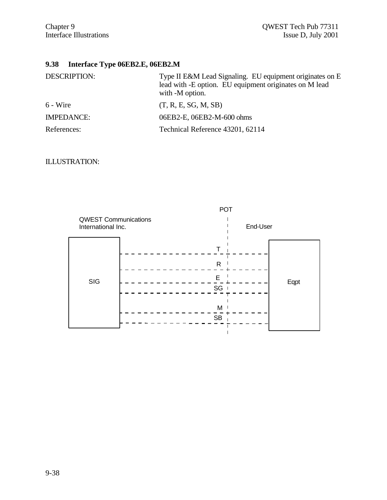# **9.38 Interface Type 06EB2.E, 06EB2.M**

| <b>DESCRIPTION:</b> | Type II E&M Lead Signaling. EU equipment originates on E<br>lead with -E option. EU equipment originates on M lead<br>with -M option. |
|---------------------|---------------------------------------------------------------------------------------------------------------------------------------|
| 6 - Wire            | (T, R, E, SG, M, SB)                                                                                                                  |
| <b>IMPEDANCE:</b>   | 06EB2-E, 06EB2-M-600 ohms                                                                                                             |
| References:         | Technical Reference 43201, 62114                                                                                                      |

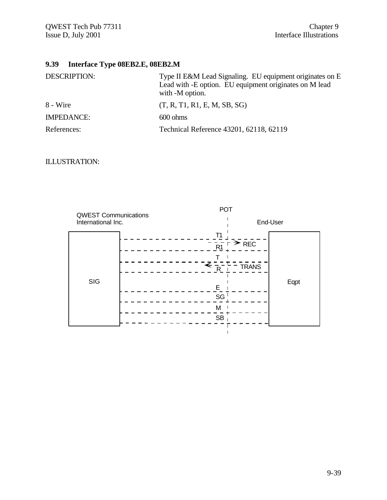# **9.39 Interface Type 08EB2.E, 08EB2.M**

| <b>DESCRIPTION:</b> | Type II E&M Lead Signaling. EU equipment originates on E<br>Lead with -E option. EU equipment originates on M lead<br>with -M option. |
|---------------------|---------------------------------------------------------------------------------------------------------------------------------------|
| 8 - Wire            | (T, R, T1, R1, E, M, SB, SG)                                                                                                          |
| <b>IMPEDANCE:</b>   | $600 \text{ ohms}$                                                                                                                    |
| References:         | Technical Reference 43201, 62118, 62119                                                                                               |

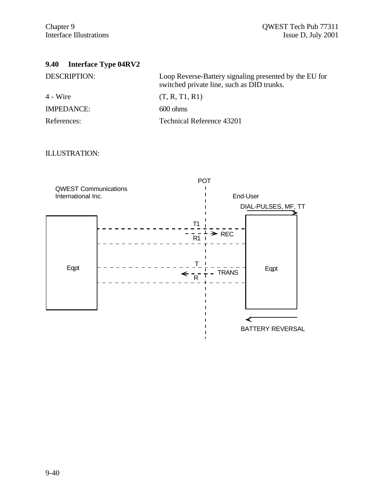# **9.40 Interface Type 04RV2**

| <b>DESCRIPTION:</b> | Loop Reverse-Battery signaling presented by the EU for<br>switched private line, such as DID trunks. |
|---------------------|------------------------------------------------------------------------------------------------------|
| 4 - Wire            | (T, R, T1, R1)                                                                                       |
| <b>IMPEDANCE:</b>   | $600 \text{ ohms}$                                                                                   |
| References:         | Technical Reference 43201                                                                            |

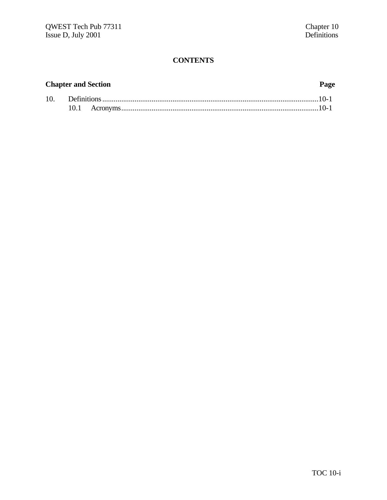# **CONTENTS**

## **Chapter and Section Page**

| 10. |  |  |  |
|-----|--|--|--|
|     |  |  |  |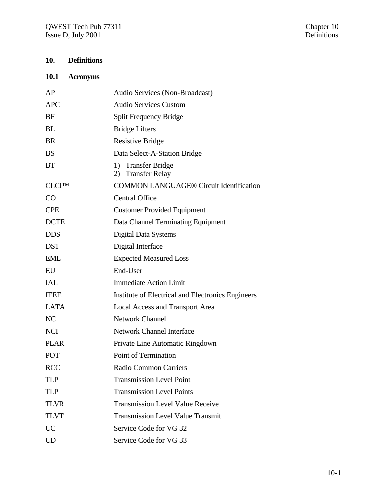# **10. Definitions**

## **10.1 Acronyms**

| AP            | Audio Services (Non-Broadcast)                    |
|---------------|---------------------------------------------------|
| <b>APC</b>    | <b>Audio Services Custom</b>                      |
| <b>BF</b>     | <b>Split Frequency Bridge</b>                     |
| <b>BL</b>     | <b>Bridge Lifters</b>                             |
| <b>BR</b>     | <b>Resistive Bridge</b>                           |
| <b>BS</b>     | Data Select-A-Station Bridge                      |
| <b>BT</b>     | 1) Transfer Bridge<br>2) Transfer Relay           |
| <b>CLCITM</b> | <b>COMMON LANGUAGE® Circuit Identification</b>    |
| CO            | <b>Central Office</b>                             |
| <b>CPE</b>    | <b>Customer Provided Equipment</b>                |
| <b>DCTE</b>   | Data Channel Terminating Equipment                |
| <b>DDS</b>    | Digital Data Systems                              |
| DS1           | Digital Interface                                 |
| <b>EML</b>    | <b>Expected Measured Loss</b>                     |
| EU            | End-User                                          |
| IAL           | <b>Immediate Action Limit</b>                     |
| <b>IEEE</b>   | Institute of Electrical and Electronics Engineers |
| <b>LATA</b>   | <b>Local Access and Transport Area</b>            |
| NC            | <b>Network Channel</b>                            |
| <b>NCI</b>    | <b>Network Channel Interface</b>                  |
| <b>PLAR</b>   | Private Line Automatic Ringdown                   |
| POT           | Point of Termination                              |
| <b>RCC</b>    | Radio Common Carriers                             |
| TLP           | <b>Transmission Level Point</b>                   |
| TI P          | <b>Transmission Level Points</b>                  |
| <b>TLVR</b>   | <b>Transmission Level Value Receive</b>           |
| <b>TLVT</b>   | <b>Transmission Level Value Transmit</b>          |
| UC            | Service Code for VG 32                            |
| UD            | Service Code for VG 33                            |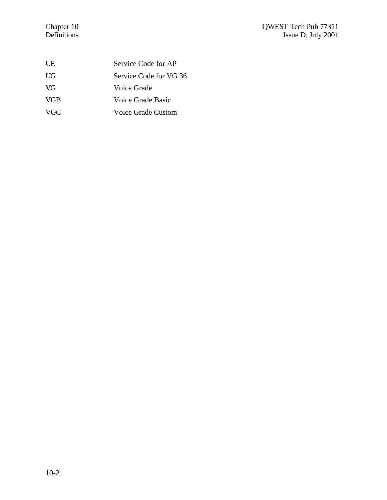### Chapter 10 QWEST Tech Pub 77311 Definitions Issue D, July 2001

| UE         | Service Code for AP    |
|------------|------------------------|
| UG         | Service Code for VG 36 |
| VG         | Voice Grade            |
| <b>VGB</b> | Voice Grade Basic      |
| VGC.       | Voice Grade Custom     |
|            |                        |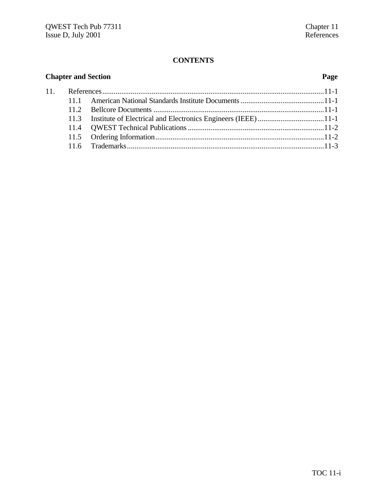## **CONTENTS**

| <b>Chapter and Section</b> |  | Page |  |  |
|----------------------------|--|------|--|--|
|                            |  |      |  |  |
|                            |  |      |  |  |
|                            |  |      |  |  |
|                            |  |      |  |  |
|                            |  |      |  |  |
|                            |  |      |  |  |
|                            |  |      |  |  |
|                            |  |      |  |  |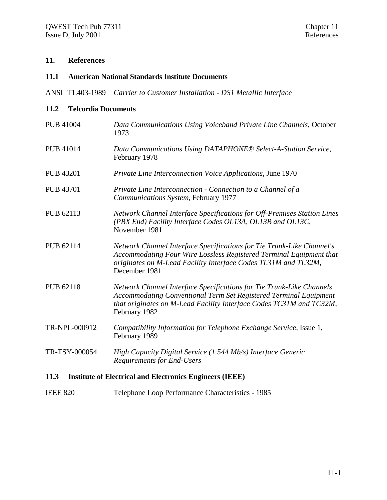### **11. References**

### **11.1 American National Standards Institute Documents**

ANSI T1.403-1989 *Carrier to Customer Installation - DS1 Metallic Interface*

### **11.2 Telcordia Documents**

- PUB 41004 *Data Communications Using Voiceband Private Line Channels*, October 1973 PUB 41014 *Data Communications Using DATAPHONE® Select-A-Station Service*, February 1978 PUB 43201 *Private Line Interconnection Voice Applications*, June 1970 PUB 43701 *Private Line Interconnection - Connection to a Channel of a Communications System*, February 1977 PUB 62113 *Network Channel Interface Specifications for Off-Premises Station Lines (PBX End) Facility Interface Codes OL13A, OL13B and OL13C*, November 1981 PUB 62114 *Network Channel Interface Specifications for Tie Trunk-Like Channel's Accommodating Four Wire Lossless Registered Terminal Equipment that originates on M-Lead Facility Interface Codes TL31M and TL32M*, December 1981 PUB 62118 *Network Channel Interface Specifications for Tie Trunk-Like Channels Accommodating Conventional Term Set Registered Terminal Equipment that originates on M-Lead Facility Interface Codes TC31M and TC32M*, February 1982 TR-NPL-000912 *Compatibility Information for Telephone Exchange Service*, Issue 1, February 1989 TR-TSY-000054 *High Capacity Digital Service (1.544 Mb/s) Interface Generic Requirements for End-Users* **11.3 Institute of Electrical and Electronics Engineers (IEEE)**
- IEEE 820 Telephone Loop Performance Characteristics 1985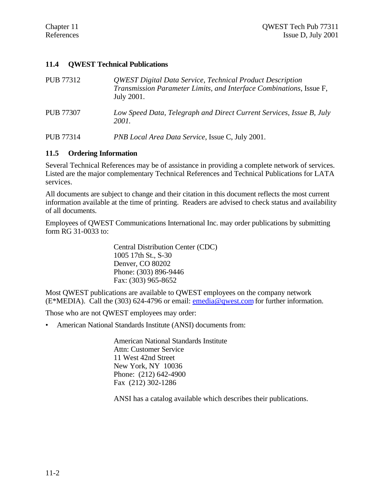### **11.4 QWEST Technical Publications**

| PUB 77312        | <b>QWEST Digital Data Service, Technical Product Description</b><br>Transmission Parameter Limits, and Interface Combinations, Issue F,<br>July 2001. |
|------------------|-------------------------------------------------------------------------------------------------------------------------------------------------------|
| <b>PUB 77307</b> | Low Speed Data, Telegraph and Direct Current Services, Issue B, July<br>2001.                                                                         |

PUB 77314 *PNB Local Area Data Service*, Issue C, July 2001.

### **11.5 Ordering Information**

Several Technical References may be of assistance in providing a complete network of services. Listed are the major complementary Technical References and Technical Publications for LATA services.

All documents are subject to change and their citation in this document reflects the most current information available at the time of printing. Readers are advised to check status and availability of all documents.

Employees of QWEST Communications International Inc. may order publications by submitting form RG 31-0033 to:

> Central Distribution Center (CDC) 1005 17th St., S-30 Denver, CO 80202 Phone: (303) 896-9446 Fax: (303) 965-8652

Most QWEST publications are available to QWEST employees on the company network (E\*MEDIA). Call the (303) 624-4796 or email: emedia@qwest.com for further information.

Those who are not QWEST employees may order:

• American National Standards Institute (ANSI) documents from:

American National Standards Institute Attn: Customer Service 11 West 42nd Street New York, NY 10036 Phone: (212) 642-4900 Fax (212) 302-1286

ANSI has a catalog available which describes their publications.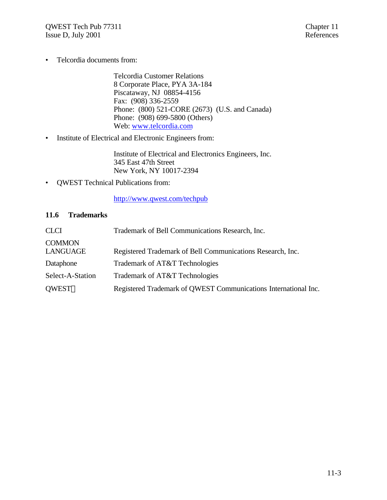• Telcordia documents from:

Telcordia Customer Relations 8 Corporate Place, PYA 3A-184 Piscataway, NJ 08854-4156 Fax: (908) 336-2559 Phone: (800) 521-CORE (2673) (U.S. and Canada) Phone: (908) 699-5800 (Others) Web: www.telcordia.com

• Institute of Electrical and Electronic Engineers from:

Institute of Electrical and Electronics Engineers, Inc. 345 East 47th Street New York, NY 10017-2394

• QWEST Technical Publications from:

http://www.qwest.com/techpub

### **11.6 Trademarks**

| <b>CLCI</b>               | Trademark of Bell Communications Research, Inc.                 |
|---------------------------|-----------------------------------------------------------------|
| <b>COMMON</b><br>LANGUAGE | Registered Trademark of Bell Communications Research, Inc.      |
| Dataphone                 | Trademark of AT&T Technologies                                  |
| Select-A-Station          | Trademark of AT&T Technologies                                  |
| <b>QWEST®</b>             | Registered Trademark of QWEST Communications International Inc. |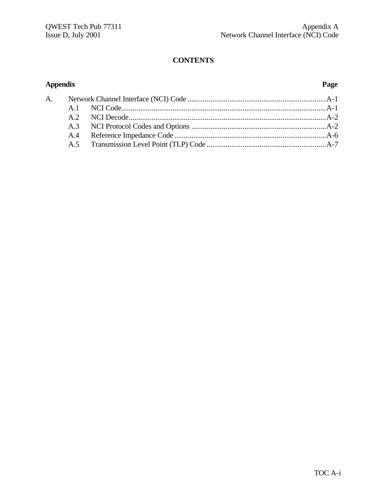# **CONTENTS**

## **Appendix Page**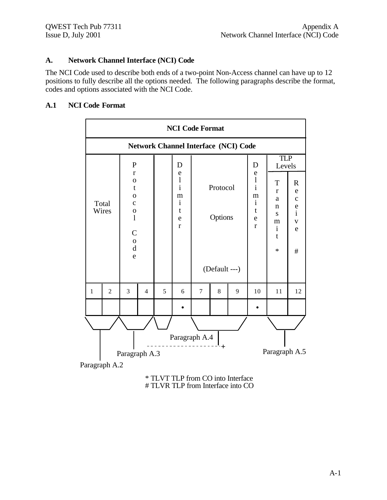## **A. Network Channel Interface (NCI) Code**

The NCI Code used to describe both ends of a two-point Non-Access channel can have up to 12 positions to fully describe all the options needed. The following paragraphs describe the format, codes and options associated with the NCI Code.

### **A.1 NCI Code Format**

|                                             | <b>NCI Code Format</b>                                                                                                                                                                   |                |                                                                                   |   |   |                                      |   |                                                                                  |                                                                                              |                                                                                              |    |
|---------------------------------------------|------------------------------------------------------------------------------------------------------------------------------------------------------------------------------------------|----------------|-----------------------------------------------------------------------------------|---|---|--------------------------------------|---|----------------------------------------------------------------------------------|----------------------------------------------------------------------------------------------|----------------------------------------------------------------------------------------------|----|
| <b>Network Channel Interface (NCI) Code</b> |                                                                                                                                                                                          |                |                                                                                   |   |   |                                      |   |                                                                                  |                                                                                              |                                                                                              |    |
|                                             | $\mathbf{P}$<br>$\mathbf{r}$<br>$\mathbf{O}$<br>$\mathbf t$<br>$\mathbf 0$<br>Total<br>$\mathbf C$<br>Wires<br>$\mathbf 0$<br>$\mathbf{1}$<br>$\mathbf C$<br>$\mathbf 0$<br>$\rm d$<br>e |                | D<br>e<br>$\bf{l}$<br>$\mathbf{i}$<br>m<br>$\mathbf{i}$<br>t<br>e<br>$\mathbf{r}$ |   |   | Protocol<br>Options<br>(Default ---) |   | D<br>e<br>$\frac{1}{i}$<br>m<br>$\mathbf{i}$<br>$\mathbf t$<br>e<br>$\mathbf{r}$ | <b>TLP</b><br>Levels<br>T<br>$\mathbf{r}$<br>a<br>n<br>S<br>m<br>$\mathbf{i}$<br>t<br>$\ast$ | $\mathbf R$<br>${\bf e}$<br>$\mathbf{C}$<br>$\frac{e}{i}$<br>$\mathbf V$<br>$\mathbf e$<br># |    |
| $\mathbf{1}$                                | $\overline{2}$                                                                                                                                                                           | $\overline{3}$ | $\overline{4}$                                                                    | 5 | 6 | $\overline{7}$                       | 8 | 9                                                                                | 10                                                                                           | 11                                                                                           | 12 |
|                                             |                                                                                                                                                                                          |                |                                                                                   |   |   |                                      |   |                                                                                  |                                                                                              |                                                                                              |    |
|                                             | Paragraph A.4<br>+<br>Paragraph A.5<br>Paragraph A.3                                                                                                                                     |                |                                                                                   |   |   |                                      |   |                                                                                  |                                                                                              |                                                                                              |    |

Paragraph A.2

\* TLVT TLP from CO into Interface # TLVR TLP from Interface into CO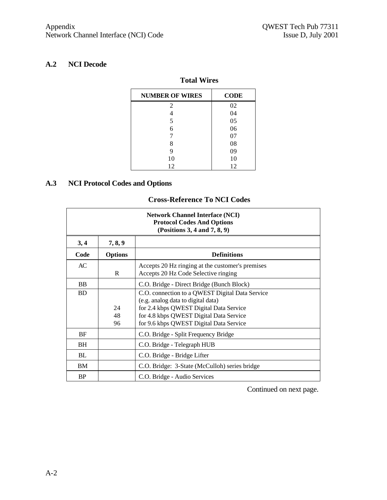# **A.2 NCI Decode**

## **Total Wires**

| <b>NUMBER OF WIRES</b> | <b>CODE</b> |
|------------------------|-------------|
| 2                      | 02          |
|                        | 04          |
| 5                      | 05          |
| 6                      | 06          |
| 7                      | 07          |
| 8                      | 08          |
| 9                      | 09          |
| 10                     | 10          |
| 12                     | 12          |

### **A.3 NCI Protocol Codes and Options**

## **Cross-Reference To NCI Codes**

| <b>Network Channel Interface (NCI)</b><br><b>Protocol Codes And Options</b><br>(Positions 3, 4 and 7, 8, 9) |                |                                                                                                                                                                                                                        |  |  |  |  |
|-------------------------------------------------------------------------------------------------------------|----------------|------------------------------------------------------------------------------------------------------------------------------------------------------------------------------------------------------------------------|--|--|--|--|
| 3, 4                                                                                                        | 7, 8, 9        |                                                                                                                                                                                                                        |  |  |  |  |
| Code                                                                                                        | <b>Options</b> | <b>Definitions</b>                                                                                                                                                                                                     |  |  |  |  |
| AC                                                                                                          | R              | Accepts 20 Hz ringing at the customer's premises<br>Accepts 20 Hz Code Selective ringing                                                                                                                               |  |  |  |  |
| <b>BB</b>                                                                                                   |                | C.O. Bridge - Direct Bridge (Bunch Block)                                                                                                                                                                              |  |  |  |  |
| <b>BD</b>                                                                                                   | 24<br>48<br>96 | C.O. connection to a QWEST Digital Data Service<br>(e.g. analog data to digital data)<br>for 2.4 kbps QWEST Digital Data Service<br>for 4.8 kbps QWEST Digital Data Service<br>for 9.6 kbps QWEST Digital Data Service |  |  |  |  |
| BF                                                                                                          |                | C.O. Bridge - Split Frequency Bridge                                                                                                                                                                                   |  |  |  |  |
| BН                                                                                                          |                | C.O. Bridge - Telegraph HUB                                                                                                                                                                                            |  |  |  |  |
| BL                                                                                                          |                | C.O. Bridge - Bridge Lifter                                                                                                                                                                                            |  |  |  |  |
| BM                                                                                                          |                | C.O. Bridge: 3-State (McCulloh) series bridge                                                                                                                                                                          |  |  |  |  |
| <b>BP</b>                                                                                                   |                | C.O. Bridge - Audio Services                                                                                                                                                                                           |  |  |  |  |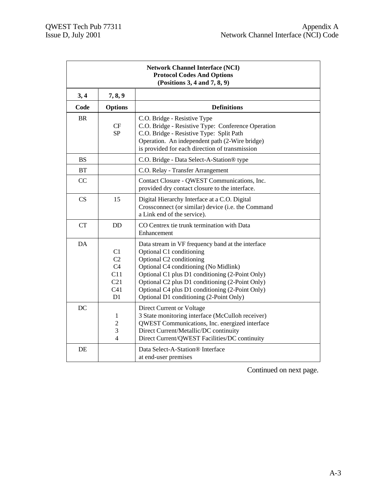| <b>Network Channel Interface (NCI)</b><br><b>Protocol Codes And Options</b><br>(Positions 3, 4 and 7, 8, 9) |                                                                               |                                                                                                                                                                                                                                                                                                                                                        |  |  |  |  |
|-------------------------------------------------------------------------------------------------------------|-------------------------------------------------------------------------------|--------------------------------------------------------------------------------------------------------------------------------------------------------------------------------------------------------------------------------------------------------------------------------------------------------------------------------------------------------|--|--|--|--|
| 3,4                                                                                                         | 7, 8, 9                                                                       |                                                                                                                                                                                                                                                                                                                                                        |  |  |  |  |
| Code                                                                                                        | <b>Options</b>                                                                | <b>Definitions</b>                                                                                                                                                                                                                                                                                                                                     |  |  |  |  |
| <b>BR</b>                                                                                                   | CF<br>SP                                                                      | C.O. Bridge - Resistive Type<br>C.O. Bridge - Resistive Type: Conference Operation<br>C.O. Bridge - Resistive Type: Split Path<br>Operation. An independent path (2-Wire bridge)<br>is provided for each direction of transmission                                                                                                                     |  |  |  |  |
| <b>BS</b>                                                                                                   |                                                                               | C.O. Bridge - Data Select-A-Station® type                                                                                                                                                                                                                                                                                                              |  |  |  |  |
| BT                                                                                                          |                                                                               | C.O. Relay - Transfer Arrangement                                                                                                                                                                                                                                                                                                                      |  |  |  |  |
| CC                                                                                                          |                                                                               | Contact Closure - QWEST Communications, Inc.<br>provided dry contact closure to the interface.                                                                                                                                                                                                                                                         |  |  |  |  |
| CS                                                                                                          | 15                                                                            | Digital Hierarchy Interface at a C.O. Digital<br>Crossconnect (or similar) device (i.e. the Command<br>a Link end of the service).                                                                                                                                                                                                                     |  |  |  |  |
| CT                                                                                                          | <b>DD</b>                                                                     | CO Centrex tie trunk termination with Data<br>Enhancement                                                                                                                                                                                                                                                                                              |  |  |  |  |
| DA                                                                                                          | C1<br>C <sub>2</sub><br>C <sub>4</sub><br>C11<br>C21<br>C <sub>41</sub><br>D1 | Data stream in VF frequency band at the interface<br>Optional C1 conditioning<br>Optional C2 conditioning<br>Optional C4 conditioning (No Midlink)<br>Optional C1 plus D1 conditioning (2-Point Only)<br>Optional C2 plus D1 conditioning (2-Point Only)<br>Optional C4 plus D1 conditioning (2-Point Only)<br>Optional D1 conditioning (2-Point Only) |  |  |  |  |
| DC                                                                                                          | 1<br>$\overline{c}$<br>3<br>$\overline{\mathbf{4}}$                           | Direct Current or Voltage<br>3 State monitoring interface (McCulloh receiver)<br>QWEST Communications, Inc. energized interface<br>Direct Current/Metallic/DC continuity<br>Direct Current/QWEST Facilities/DC continuity                                                                                                                              |  |  |  |  |
| DE                                                                                                          |                                                                               | Data Select-A-Station <sup>®</sup> Interface<br>at end-user premises                                                                                                                                                                                                                                                                                   |  |  |  |  |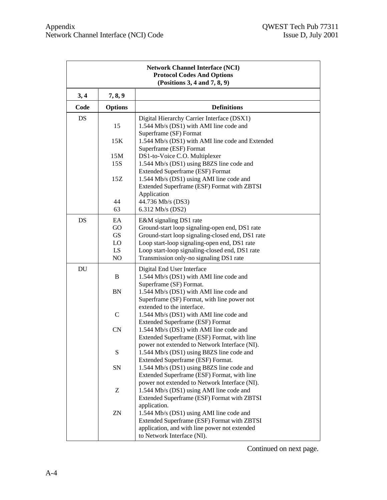| <b>Network Channel Interface (NCI)</b><br><b>Protocol Codes And Options</b><br>(Positions 3, 4 and 7, 8, 9) |                                         |                                                                                                                                                                                                                                                                           |  |  |  |  |
|-------------------------------------------------------------------------------------------------------------|-----------------------------------------|---------------------------------------------------------------------------------------------------------------------------------------------------------------------------------------------------------------------------------------------------------------------------|--|--|--|--|
| 3, 4                                                                                                        | 7, 8, 9                                 |                                                                                                                                                                                                                                                                           |  |  |  |  |
| Code                                                                                                        | <b>Options</b>                          | <b>Definitions</b>                                                                                                                                                                                                                                                        |  |  |  |  |
| DS                                                                                                          | 15                                      | Digital Hierarchy Carrier Interface (DSX1)<br>1.544 Mb/s (DS1) with AMI line code and<br>Superframe (SF) Format                                                                                                                                                           |  |  |  |  |
|                                                                                                             | 15K                                     | 1.544 Mb/s (DS1) with AMI line code and Extended<br>Superframe (ESF) Format                                                                                                                                                                                               |  |  |  |  |
|                                                                                                             | 15M<br>15S                              | DS1-to-Voice C.O. Multiplexer<br>1.544 Mb/s (DS1) using B8ZS line code and<br><b>Extended Superframe (ESF) Format</b>                                                                                                                                                     |  |  |  |  |
|                                                                                                             | 15Z                                     | 1.544 Mb/s (DS1) using AMI line code and<br>Extended Superframe (ESF) Format with ZBTSI<br>Application                                                                                                                                                                    |  |  |  |  |
|                                                                                                             | 44<br>63                                | 44.736 Mb/s (DS3)<br>6.312 Mb/s (DS2)                                                                                                                                                                                                                                     |  |  |  |  |
| <b>DS</b>                                                                                                   | EA<br>GO<br><b>GS</b><br>LO<br>LS<br>NO | E&M signaling DS1 rate<br>Ground-start loop signaling-open end, DS1 rate<br>Ground-start loop signaling-closed end, DS1 rate<br>Loop start-loop signaling-open end, DS1 rate<br>Loop start-loop signaling-closed end, DS1 rate<br>Transmission only-no signaling DS1 rate |  |  |  |  |
| DU                                                                                                          | B<br>BN                                 | Digital End User Interface<br>1.544 Mb/s (DS1) with AMI line code and<br>Superframe (SF) Format.<br>1.544 Mb/s (DS1) with AMI line code and<br>Superframe (SF) Format, with line power not                                                                                |  |  |  |  |
|                                                                                                             | $\mathbf C$                             | extended to the interface.<br>1.544 Mb/s (DS1) with AMI line code and<br><b>Extended Superframe (ESF) Format</b>                                                                                                                                                          |  |  |  |  |
|                                                                                                             | CN                                      | 1.544 Mb/s (DS1) with AMI line code and<br>Extended Superframe (ESF) Format, with line<br>power not extended to Network Interface (NI).                                                                                                                                   |  |  |  |  |
|                                                                                                             | S                                       | 1.544 Mb/s (DS1) using B8ZS line code and<br>Extended Superframe (ESF) Format.                                                                                                                                                                                            |  |  |  |  |
|                                                                                                             | SN                                      | 1.544 Mb/s (DS1) using B8ZS line code and<br>Extended Superframe (ESF) Format, with line<br>power not extended to Network Interface (NI).                                                                                                                                 |  |  |  |  |
|                                                                                                             | Z                                       | 1.544 Mb/s (DS1) using AMI line code and<br>Extended Superframe (ESF) Format with ZBTSI<br>application.                                                                                                                                                                   |  |  |  |  |
|                                                                                                             | ZN                                      | 1.544 Mb/s (DS1) using AMI line code and<br>Extended Superframe (ESF) Format with ZBTSI<br>application, and with line power not extended<br>to Network Interface (NI).                                                                                                    |  |  |  |  |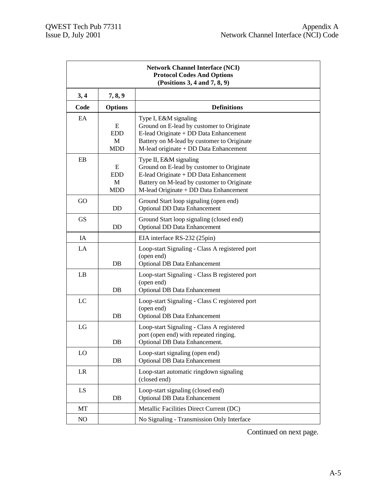| <b>Network Channel Interface (NCI)</b><br><b>Protocol Codes And Options</b><br>(Positions 3, 4 and 7, 8, 9) |                             |                                                                                                                                                                                                       |  |  |  |
|-------------------------------------------------------------------------------------------------------------|-----------------------------|-------------------------------------------------------------------------------------------------------------------------------------------------------------------------------------------------------|--|--|--|
| 3,4                                                                                                         | 7, 8, 9                     |                                                                                                                                                                                                       |  |  |  |
| Code                                                                                                        | <b>Options</b>              | <b>Definitions</b>                                                                                                                                                                                    |  |  |  |
| EA                                                                                                          | E<br><b>EDD</b><br>М<br>MDD | Type I, E&M signaling<br>Ground on E-lead by customer to Originate<br>E-lead Originate + DD Data Enhancement<br>Battery on M-lead by customer to Originate<br>M-lead originate + DD Data Enhancement  |  |  |  |
| EB                                                                                                          | E<br><b>EDD</b><br>М<br>MDD | Type II, E&M signaling<br>Ground on E-lead by customer to Originate<br>E-lead Originate + DD Data Enhancement<br>Battery on M-lead by customer to Originate<br>M-lead Originate + DD Data Enhancement |  |  |  |
| GO                                                                                                          | DD.                         | Ground Start loop signaling (open end)<br><b>Optional DD Data Enhancement</b>                                                                                                                         |  |  |  |
| <b>GS</b>                                                                                                   | <b>DD</b>                   | Ground Start loop signaling (closed end)<br><b>Optional DD Data Enhancement</b>                                                                                                                       |  |  |  |
| IA                                                                                                          |                             | EIA interface RS-232 (25pin)                                                                                                                                                                          |  |  |  |
| LA                                                                                                          | DB                          | Loop-start Signaling - Class A registered port<br>(open end)<br><b>Optional DB Data Enhancement</b>                                                                                                   |  |  |  |
| LB                                                                                                          | DB                          | Loop-start Signaling - Class B registered port<br>(open end)<br><b>Optional DB Data Enhancement</b>                                                                                                   |  |  |  |
| LC                                                                                                          | DB                          | Loop-start Signaling - Class C registered port<br>(open end)<br><b>Optional DB Data Enhancement</b>                                                                                                   |  |  |  |
| LG                                                                                                          | DB                          | Loop-start Signaling - Class A registered<br>port (open end) with repeated ringing.<br>Optional DB Data Enhancement.                                                                                  |  |  |  |
| LO                                                                                                          | DB                          | Loop-start signaling (open end)<br><b>Optional DB Data Enhancement</b>                                                                                                                                |  |  |  |
| LR                                                                                                          |                             | Loop-start automatic ringdown signaling<br>(closed end)                                                                                                                                               |  |  |  |
| LS                                                                                                          | DB                          | Loop-start signaling (closed end)<br><b>Optional DB Data Enhancement</b>                                                                                                                              |  |  |  |
| MT                                                                                                          |                             | Metallic Facilities Direct Current (DC)                                                                                                                                                               |  |  |  |
| NO                                                                                                          |                             | No Signaling - Transmission Only Interface                                                                                                                                                            |  |  |  |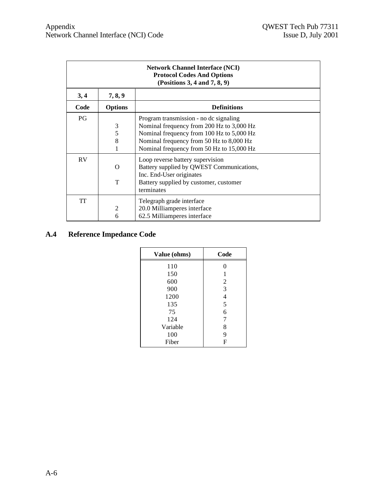| <b>Network Channel Interface (NCI)</b><br><b>Protocol Codes And Options</b><br>(Positions 3, 4 and 7, 8, 9) |                  |                                                                                                                                                                                                                           |  |  |  |  |
|-------------------------------------------------------------------------------------------------------------|------------------|---------------------------------------------------------------------------------------------------------------------------------------------------------------------------------------------------------------------------|--|--|--|--|
| 3, 4                                                                                                        | 7, 8, 9          |                                                                                                                                                                                                                           |  |  |  |  |
| Code                                                                                                        | <b>Options</b>   | <b>Definitions</b>                                                                                                                                                                                                        |  |  |  |  |
| PG.                                                                                                         | 3<br>5<br>8<br>1 | Program transmission - no de signaling<br>Nominal frequency from 200 Hz to 3,000 Hz<br>Nominal frequency from 100 Hz to 5,000 Hz<br>Nominal frequency from 50 Hz to 8,000 Hz<br>Nominal frequency from 50 Hz to 15,000 Hz |  |  |  |  |
| <b>RV</b>                                                                                                   | O<br>T           | Loop reverse battery supervision<br>Battery supplied by QWEST Communications,<br>Inc. End-User originates<br>Battery supplied by customer, customer<br>terminates                                                         |  |  |  |  |
| TT                                                                                                          | 2<br>6           | Telegraph grade interface<br>20.0 Milliamperes interface<br>62.5 Milliamperes interface                                                                                                                                   |  |  |  |  |

# **A.4 Reference Impedance Code**

| Value (ohms) | Code           |
|--------------|----------------|
| 110          | 0              |
| 150          | 1              |
| 600          | $\overline{c}$ |
| 900          | 3              |
| 1200         | $\overline{4}$ |
| 135          | 5              |
| 75           | 6              |
| 124          | 7              |
| Variable     | 8              |
| 100          | 9              |
| Fiber        | F              |
|              |                |